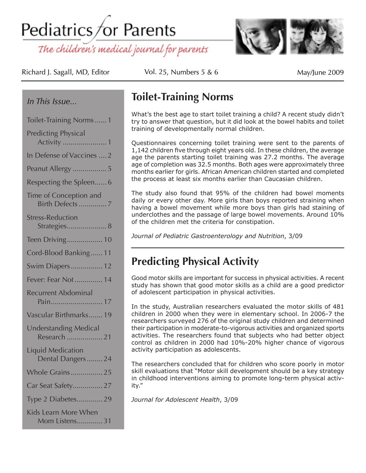Pediatrics for Parents

The children's medical journal for parents



Richard J. Sagall, MD, Editor  $\qquad \qquad$  Vol. 25, Numbers 5 & 6

May/June 2009

### *In This Issue...*

| Toilet-Training Norms1                       |
|----------------------------------------------|
| <b>Predicting Physical</b>                   |
| In Defense of Vaccines  2                    |
| Peanut Allergy  5                            |
| Respecting the Spleen 6                      |
| Time of Conception and<br>Birth Defects7     |
| <b>Stress-Reduction</b><br>Strategies 8      |
| Teen Driving 10                              |
| Cord-Blood Banking 11                        |
| Swim Diapers 12                              |
| Fever: Fear Not 14                           |
| <b>Recurrent Abdominal</b><br>Pain17         |
| Vascular Birthmarks 19                       |
| <b>Understanding Medical</b><br>Research 21  |
| <b>Liquid Medication</b><br>Dental Dangers24 |
| Whole Grains 25                              |
| Car Seat Safety 27                           |
| Type 2 Diabetes29                            |
| Kids Learn More When<br>Mom Listens 31       |

### **Toilet-Training Norms**

What's the best age to start toilet training a child? A recent study didn't try to answer that question, but it did look at the bowel habits and toilet training of developmentally normal children.

Questionnaires concerning toilet training were sent to the parents of 1,142 children five through eight years old. In these children, the average age the parents starting toilet training was 27.2 months. The average age of completion was 32.5 months. Both ages were approximately three months earlier for girls. African American children started and completed the process at least six months earlier than Caucasian children.

The study also found that 95% of the children had bowel moments daily or every other day. More girls than boys reported straining when having a bowel movement while more boys than girls had staining of underclothes and the passage of large bowel movements. Around 10% of the children met the criteria for constipation.

*Journal of Pediatric Gastroenterology and Nutrition*, 3/09

# **Predicting Physical Activity**

Good motor skills are important for success in physical activities. A recent study has shown that good motor skills as a child are a good predictor of adolescent participation in physical activities.

In the study, Australian researchers evaluated the motor skills of 481 children in 2000 when they were in elementary school. In 2006-7 the researchers surveyed 276 of the original study children and determined their participation in moderate-to-vigorous activities and organized sports activities. The researchers found that subjects who had better object control as children in 2000 had 10%-20% higher chance of vigorous activity participation as adolescents.

The researchers concluded that for children who score poorly in motor skill evaluations that "Motor skill development should be a key strategy in childhood interventions aiming to promote long-term physical activity."

*Journal for Adolescent Health*, 3/09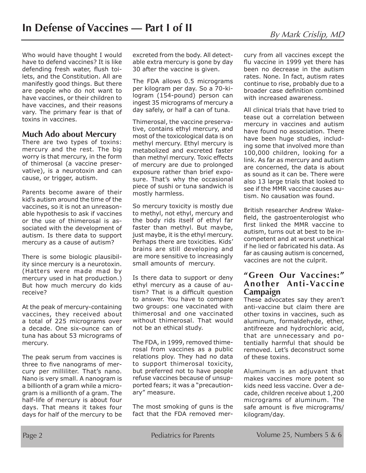Who would have thought I would have to defend vaccines? It is like defending fresh water, flush toilets, and the Constitution. All are manifestly good things. But there are people who do not want to have vaccines, or their children to have vaccines, and their reasons vary. The primary fear is that of toxins in vaccines.

### **Much Ado about Mercury**

There are two types of toxins: mercury and the rest. The big worry is that mercury, in the form of thimerosal (a vaccine preservative), is a neurotoxin and can cause, or trigger, autism.

Parents become aware of their kid's autism around the time of the vaccines, so it is not an unreasonable hypothesis to ask if vaccines or the use of thimerosal is associated with the development of autism. Is there data to support mercury as a cause of autism?

There is some biologic plausibility since mercury is a neurotoxin. (Hatters were made mad by mercury used in hat production.) But how much mercury do kids receive?

At the peak of mercury-containing vaccines, they received about a total of 225 micrograms over a decade. One six-ounce can of tuna has about 53 micrograms of mercury.

The peak serum from vaccines is three to five nanograms of mercury per milliliter. That's nano. Nano is very small. A nanogram is a billionth of a gram while a microgram is a millionth of a gram. The half-life of mercury is about four days. That means it takes four days for half of the mercury to be

excreted from the body. All detectable extra mercury is gone by day 30 after the vaccine is given.

The FDA allows 0.5 micrograms per kilogram per day. So a 70-kilogram (154-pound) person can ingest 35 micrograms of mercury a day safely, or half a can of tuna.

Thimerosal, the vaccine preservative, contains ethyl mercury, and most of the toxicological data is on methyl mercury. Ethyl mercury is metabolized and excreted faster than methyl mercury. Toxic effects of mercury are due to prolonged exposure rather than brief exposure. That's why the occasional piece of sushi or tuna sandwich is mostly harmless.

So mercury toxicity is mostly due to methyl, not ethyl, mercury and the body rids itself of ethyl far faster than methyl. But maybe, just maybe, it is the ethyl mercury. Perhaps there are toxicities. Kids' brains are still developing and are more sensitive to increasingly small amounts of mercury.

Is there data to support or deny ethyl mercury as a cause of autism? That is a difficult question to answer. You have to compare two groups: one vaccinated with thimerosal and one vaccinated without thimerosal. That would not be an ethical study.

The FDA, in 1999, removed thimerosal from vaccines as a public relations ploy. They had no data to support thimerosal toxicity, but preferred not to have people refuse vaccines because of unsupported fears; it was a "precautionary" measure.

The most smoking of guns is the fact that the FDA removed mercury from all vaccines except the flu vaccine in 1999 yet there has been no decrease in the autism rates. None. In fact, autism rates continue to rise, probably due to a broader case definition combined with increased awareness.

All clinical trials that have tried to tease out a correlation between mercury in vaccines and autism have found no association. There have been huge studies, including some that involved more than 100,000 children, looking for a link. As far as mercury and autism are concerned, the data is about as sound as it can be. There were also 13 large trials that looked to see if the MMR vaccine causes autism. No causation was found.

British researcher Andrew Wakefield, the gastroenterologist who first linked the MMR vaccine to autism, turns out at best to be incompetent and at worst unethical if he lied or fabricated his data. As far as causing autism is concerned, vaccines are not the culprit.

### **"Green Our Vaccines:" Another Anti-Vaccine Campaign**

These advocates say they aren't anti-vaccine but claim there are other toxins in vaccines, such as aluminum, formaldehyde, ether, antifreeze and hydrochloric acid, that are unnecessary and potentially harmful that should be removed. Let's deconstruct some of these toxins.

Aluminum is an adjuvant that makes vaccines more potent so kids need less vaccine. Over a decade, children receive about 1,200 micrograms of aluminum. The safe amount is five micrograms/ kilogram/day.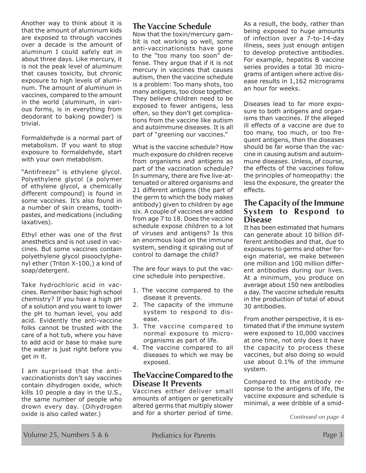Another way to think about it is that the amount of aluminum kids are exposed to through vaccines over a decade is the amount of aluminum I could safely eat in about three days. Like mercury, it is not the peak level of aluminum that causes toxicity, but chronic exposure to high levels of aluminum. The amount of aluminum in vaccines, compared to the amount in the world (aluminum, in various forms, is in everything from deodorant to baking powder) is trivial.

Formaldehyde is a normal part of metabolism. If you want to stop exposure to formaldehyde, start with your own metabolism.

"Antifreeze" is ethylene glycol. Polyethylene glycol (a polymer of ethylene glycol, a chemically different compound) is found in some vaccines. It's also found in a number of skin creams, toothpastes, and medications (including laxatives).

Ethyl ether was one of the first anesthetics and is not used in vaccines. But some vaccines contain polyethylene glycol pisooctylphenyl ether (Triton X-100,) a kind of soap/detergent.

Take hydrochloric acid in vaccines. Remember basic high school chemistry? If you have a high pH of a solution and you want to lower the pH to human level, you add acid. Evidently the anti-vaccine folks cannot be trusted with the care of a hot tub, where you have to add acid or base to make sure the water is just right before you get in it.

I am surprised that the antivaccinationists don't say vaccines contain dihydrogen oxide, which kills 10 people a day in the U.S., the same number of people who drown every day. (Dihydrogen oxide is also called water.)

### **The Vaccine Schedule**

Now that the toxin/mercury gambit is not working so well, some anti-vaccinationists have gone to the "too many too soon" defense. They argue that if it is not mercury in vaccines that causes autism, then the vaccine schedule is a problem: Too many shots, too many antigens, too close together. They believe children need to be exposed to fewer antigens, less often, so they don't get complications from the vaccine like autism and autoimmune diseases. It is all part of "greening our vaccines."

What is the vaccine schedule? How much exposure do children receive from organisms and antigens as part of the vaccination schedule? In summary, there are five live-attenuated or altered organisms and 21 different antigens (the part of the germ to which the body makes antibody) given to children by age six. A couple of vaccines are added from age 7 to 18. Does the vaccine schedule expose children to a lot of viruses and antigens? Is this an enormous load on the immune system, sending it spiraling out of control to damage the child?

The are four ways to put the vaccine schedule into perspective.

- 1. The vaccine compared to the disease it prevents.
- 2. The capacity of the immune system to respond to disease.
- 3. The vaccine compared to normal exposure to microorganisms as part of life.
- 4. The vaccine compared to all diseases to which we may be exposed.

### **The Vaccine Compared to the Disease It Prevents**

Vaccines either deliver small amounts of antigen or genetically altered germs that multiply slower and for a shorter period of time. As a result, the body, rather than being exposed to huge amounts of infection over a 7-to-14-day illness, sees just enough antigen to develop protective antibodies. For example, hepatitis B vaccine series provides a total 30 micrograms of antigen where active disease results in 1,162 micrograms an hour for weeks.

Diseases lead to far more exposure to both antigens and organisms than vaccines. If the alleged ill effects of a vaccine are due to too many, too much, or too frequent antigens, then the diseases should be far worse than the vaccine in causing autism and autoimmune diseases. Unless, of course, the effects of the vaccines follow the principles of homeopathy: the less the exposure, the greater the effects.

#### **The Capacity of the Immune System to Respond to Disease**

It has been estimated that humans can generate about 10 billion different antibodies and that, due to exposures to germs and other foreign material, we make between one million and 100 million different antibodies during our lives. At a minimum, you produce on average about 150 new antibodies a day. The vaccine schedule results in the production of total of about 30 antibodies.

From another perspective, it is estimated that if the immune system were exposed to 10,000 vaccines at one time, not only does it have the capacity to process these vaccines, but also doing so would use about 0.1% of the immune system.

Compared to the antibody response to the antigens of life, the vaccine exposure and schedule is minimal, a wee dribble of a smid-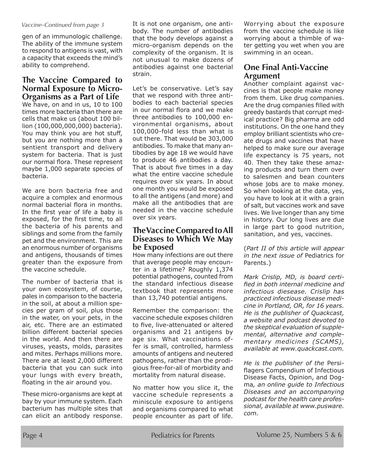#### *Vaccine–Continued from page 3*

gen of an immunologic challenge. The ability of the immune system to respond to antigens is vast, with a capacity that exceeds the mind's ability to comprehend.

#### **The Vaccine Compared to Normal Exposure to Micro-Organisms as a Part of Life**

We have, on and in us, 10 to 100 times more bacteria than there are cells that make us (about 100 billion (100,000,000,000) bacteria). You may think you are hot stuff, but you are nothing more than a sentient transport and delivery system for bacteria. That is just our normal flora. These represent maybe 1,000 separate species of bacteria.

We are born bacteria free and acquire a complex and enormous normal bacterial flora in months. In the first year of life a baby is exposed, for the first time, to all the bacteria of his parents and siblings and some from the family pet and the environment. This are an enormous number of organisms and antigens, thousands of times greater than the exposure from the vaccine schedule.

The number of bacteria that is your own ecosystem, of course, pales in comparison to the bacteria in the soil, at about a million species per gram of soil, plus those in the water, on your pets, in the air, etc. There are an estimated billion different bacterial species in the world. And then there are viruses, yeasts, molds, parasites and mites. Perhaps millions more. There are at least 2,000 different bacteria that you can suck into your lungs with every breath, floating in the air around you.

These micro-organisms are kept at bay by your immune system. Each bacterium has multiple sites that can elicit an antibody response.

It is not one organism, one antibody. The number of antibodies that the body develops against a micro-organism depends on the complexity of the organism. It is not unusual to make dozens of antibodies against one bacterial strain.

Let's be conservative. Let's say that we respond with three antibodies to each bacterial species in our normal flora and we make three antibodies to 100,000 environmental organisms, about 100,000-fold less than what is out there. That would be 303,000 antibodies. To make that many antibodies by age 18 we would have to produce 46 antibodies a day. That is about five times in a day what the entire vaccine schedule requires over six years. In about one month you would be exposed to all the antigens (and more) and make all the antibodies that are needed in the vaccine schedule over six years.

### **The Vaccine Compared to All Diseases to Which We May be Exposed**

How many infections are out there that average people may encounter in a lifetime? Roughly 1,374 potential pathogens, counted from the standard infectious disease textbook that represents more than 13,740 potential antigens.

Remember the comparison: the vaccine schedule exposes children to five, live-attenuated or altered organisms and 21 antigens by age six. What vaccinations offer is small, controlled, harmless amounts of antigens and neutered pathogens, rather than the prodigious free-for-all of morbidity and mortality from natural disease.

No matter how you slice it, the vaccine schedule represents a miniscule exposure to antigens and organisms compared to what people encounter as part of life. Worrying about the exposure from the vaccine schedule is like worrying about a thimble of water getting you wet when you are swimming in an ocean.

### **One Final Anti-Vaccine Argument**

Another complaint against vaccines is that people make money from them. Like drug companies. Are the drug companies filled with greedy bastards that corrupt medical practice? Big pharma are odd institutions. On the one hand they employ brilliant scientists who create drugs and vaccines that have helped to make sure our average life expectancy is 75 years, not 40. Then they take these amazing products and turn them over to salesmen and bean counters whose jobs are to make money. So when looking at the data, yes, you have to look at it with a grain of salt, but vaccines work and save lives. We live longer than any time in history. Our long lives are due in large part to good nutrition, sanitation, and yes, vaccines.

(*Part II of this article will appear in the next issue of* Pediatrics for Parents.)

*Mark Crislip, MD, is board certified in both internal medicine and infectious diesease. Crislip has practiced infectious disease medicine in Portland, OR, for 16 years. He is the publisher of Quackcast, a website and podcast devoted to the skeptical evaluation of supplemental, alternative and complementary medicines (SCAMS), available at www.quackcast.com.*

*He is the publisher of the* Persiflagers Compendium of Infectious Disease Facts, Opinion, and Dogma*, an online guide to Infectious Diseases and an accompanying podcast for the health care professional, available at www.pusware. com.*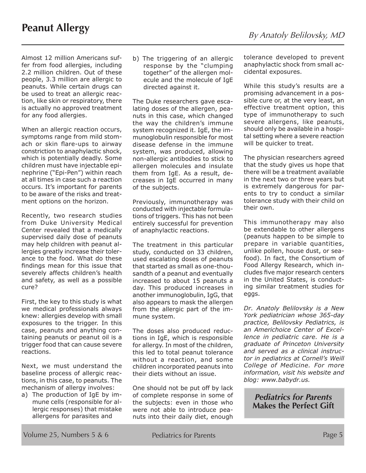Almost 12 million Americans suffer from food allergies, including 2.2 million children. Out of these people, 3.3 million are allergic to peanuts. While certain drugs can be used to treat an allergic reaction, like skin or respiratory, there is actually no approved treatment for any food allergies.

When an allergic reaction occurs, symptoms range from mild stomach or skin flare-ups to airway constriction to anaphylactic shock, which is potentially deadly. Some children must have injectable epinephrine ("Epi-Pen") within reach at all times in case such a reaction occurs. It's important for parents to be aware of the risks and treatment options on the horizon.

Recently, two research studies from Duke University Medical Center revealed that a medically supervised daily dose of peanuts may help children with peanut allergies greatly increase their tolerance to the food. What do these findings mean for this issue that severely affects children's health and safety, as well as a possible cure?

First, the key to this study is what we medical professionals always knew: allergies develop with small exposures to the trigger. In this case, peanuts and anything containing peanuts or peanut oil is a trigger food that can cause severe reactions.

Next, we must understand the baseline process of allergic reactions, in this case, to peanuts. The mechanism of allergy involves:

a) The production of IgE by immune cells (responsible for allergic responses) that mistake allergens for parasites and

b) The triggering of an allergic response by the "clumping together" of the allergen molecule and the molecule of IgE directed against it.

The Duke researchers gave escalating doses of the allergen, peanuts in this case, which changed the way the children's immune system recognized it. IgE, the immunoglobulin responsible for most disease defense in the immune system, was produced, allowing non-allergic antibodies to stick to allergen molecules and insulate them from IgE. As a result, decreases in IgE occurred in many of the subjects.

Previously, immunotherapy was conducted with injectable formulations of triggers. This has not been entirely successful for prevention of anaphylactic reactions.

The treatment in this particular study, conducted on 33 children, used escalating doses of peanuts that started as small as one-thousandth of a peanut and eventually increased to about 15 peanuts a day. This produced increases in another immunoglobulin, IgG, that also appears to mask the allergen from the allergic part of the immune system.

The doses also produced reductions in IgE, which is responsible for allergy. In most of the children, this led to total peanut tolerance without a reaction, and some children incorporated peanuts into their diets without an issue.

One should not be put off by lack of complete response in some of the subjects: even in those who were not able to introduce peanuts into their daily diet, enough tolerance developed to prevent anaphylactic shock from small accidental exposures.

While this study's results are a promising advancement in a possible cure or, at the very least, an effective treatment option, this type of immunotherapy to such severe allergens, like peanuts, should only be available in a hospital setting where a severe reaction will be quicker to treat.

The physician researchers agreed that the study gives us hope that there will be a treatment available in the next two or three years but is extremely dangerous for parents to try to conduct a similar tolerance study with their child on their own.

This immunotherapy may also be extendable to other allergens (peanuts happen to be simple to prepare in variable quantities, unlike pollen, house dust, or seafood). In fact, the Consortium of Food Allergy Research, which includes five major research centers in the United States, is conducting similar treatment studies for eggs.

*Dr. Anatoly Belilovsky is a New York pediatrician whose 365-day practice, Belilovsky Pediatrics, is an Americhoice Center of Excellence in pediatric care. He is a graduate of Princeton University and served as a clinical instructor in pediatrics at Cornell's Weill College of Medicine. For more information, visit his website and blog: www.babydr.us.*

*Pediatrics for Parents* **Makes the Perfect Gift**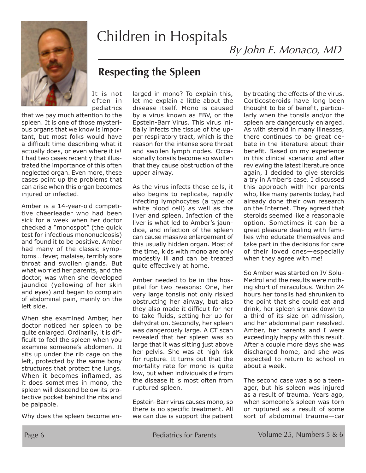

# Children in Hospitals

By John E. Monaco, MD

### **Respecting the Spleen**

It is not often in pediatrics

that we pay much attention to the spleen. It is one of those mysterious organs that we know is important, but most folks would have a difficult time describing what it actually does, or even where it is! I had two cases recently that illustrated the importance of this often neglected organ. Even more, these cases point up the problems that can arise when this organ becomes injured or infected.

Amber is a 14-year-old competitive cheerleader who had been sick for a week when her doctor checked a "monospot" (the quick test for infectious mononucleosis) and found it to be positive. Amber had many of the classic symptoms… fever, malaise, terribly sore throat and swollen glands. But what worried her parents, and the doctor, was when she developed jaundice (yellowing of her skin and eyes) and began to complain of abdominal pain, mainly on the left side.

When she examined Amber, her doctor noticed her spleen to be quite enlarged. Ordinarily, it is difficult to feel the spleen when you examine someone's abdomen. It sits up under the rib cage on the left, protected by the same bony structures that protect the lungs. When it becomes inflamed, as it does sometimes in mono, the spleen will descend below its protective pocket behind the ribs and be palpable.

Why does the spleen become en-

larged in mono? To explain this, let me explain a little about the disease itself. Mono is caused by a virus known as EBV, or the Epstein-Barr Virus. This virus initially infects the tissue of the upper respiratory tract, which is the reason for the intense sore throat and swollen lymph nodes. Occasionally tonsils become so swollen that they cause obstruction of the upper airway.

As the virus infects these cells, it also begins to replicate, rapidly infecting lymphocytes (a type of white blood cell) as well as the liver and spleen. Infection of the liver is what led to Amber's jaundice, and infection of the spleen can cause massive enlargement of this usually hidden organ. Most of the time, kids with mono are only modestly ill and can be treated quite effectively at home.

Amber needed to be in the hospital for two reasons: One, her very large tonsils not only risked obstructing her airway, but also they also made it difficult for her to take fluids, setting her up for dehydration. Secondly, her spleen was dangerously large. A CT scan revealed that her spleen was so large that it was sitting just above her pelvis. She was at high risk for rupture. It turns out that the mortality rate for mono is quite low, but when individuals die from the disease it is most often from ruptured spleen.

Epstein-Barr virus causes mono, so there is no specific treatment. All we can due is support the patient by treating the effects of the virus. Corticosteroids have long been thought to be of benefit, particularly when the tonsils and/or the spleen are dangerously enlarged. As with steroid in many illnesses, there continues to be great debate in the literature about their benefit. Based on my experience in this clinical scenario and after reviewing the latest literature once again, I decided to give steroids a try in Amber's case. I discussed this approach with her parents who, like many parents today, had already done their own research on the Internet. They agreed that steroids seemed like a reasonable option. Sometimes it can be a great pleasure dealing with families who educate themselves and take part in the decisions for care of their loved ones—especially when they agree with me!

So Amber was started on IV Solu-Medrol and the results were nothing short of miraculous. Within 24 hours her tonsils had shrunken to the point that she could eat and drink, her spleen shrunk down to a third of its size on admission, and her abdominal pain resolved. Amber, her parents and I were exceedingly happy with this result. After a couple more days she was discharged home, and she was expected to return to school in about a week.

The second case was also a teenager, but his spleen was injured as a result of trauma. Years ago, when someone's spleen was torn or ruptured as a result of some sort of abdominal trauma—car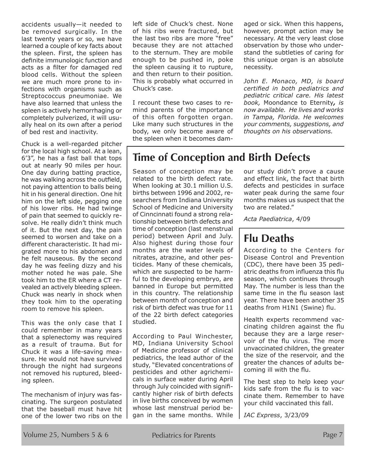accidents usually—it needed to be removed surgically. In the last twenty years or so, we have learned a couple of key facts about the spleen. First, the spleen has definite immunologic function and acts as a filter for damaged red blood cells. Without the spleen we are much more prone to infections with organisms such as Streptococcus pneumoniae. We have also learned that unless the spleen is actively hemorrhaging or completely pulverized, it will usually heal on its own after a period of bed rest and inactivity.

Chuck is a well-regarded pitcher for the local high school. At a lean, 6'3", he has a fast ball that tops out at nearly 90 miles per hour. One day during batting practice, he was walking across the outfield, not paying attention to balls being hit in his general direction. One hit him on the left side, pegging one of his lower ribs. He had twinge of pain that seemed to quickly resolve. He really didn't think much of it. But the next day, the pain seemed to worsen and take on a different characteristic. It had migrated more to his abdomen and he felt nauseous. By the second day he was feeling dizzy and his mother noted he was pale. She took him to the ER where a CT revealed an actively bleeding spleen. Chuck was nearly in shock when they took him to the operating room to remove his spleen.

This was the only case that I could remember in many years that a splenectomy was required as a result of trauma. But for Chuck it was a life-saving measure. He would not have survived through the night had surgeons not removed his ruptured, bleeding spleen.

The mechanism of injury was fascinating. The surgeon postulated that the baseball must have hit one of the lower two ribs on the left side of Chuck's chest. None of his ribs were fractured, but the last two ribs are more "free" because they are not attached to the sternum. They are mobile enough to be pushed in, poke the spleen causing it to rupture, and then return to their position. This is probably what occurred in Chuck's case.

I recount these two cases to remind parents of the importance of this often forgotten organ. Like many such structures in the body, we only become aware of the spleen when it becomes damaged or sick. When this happens, however, prompt action may be necessary. At the very least close observation by those who understand the subtleties of caring for this unique organ is an absolute necessity.

*John E. Monaco, MD, is board certified in both pediatrics and pediatric critical care. His latest book,* Moondance to Eternity*, is now available. He lives and works in Tampa, Florida. He welcomes your comments, suggestions, and thoughts on his observations.*

### **Time of Conception and Birth Defects**

Season of conception may be related to the birth defect rate. When looking at 30.1 million U.S. births between 1996 and 2002, researchers from Indiana University School of Medicine and University of Cinncinnati found a strong relationship between birth defects and time of conception (last menstrual period) between April and July. Also highest during those four months are the water levels of nitrates, atrazine, and other pesticides. Many of these chemicals, which are suspected to be harmful to the developing embryo, are banned in Europe but permitted in this country. The relationship between month of conception and risk of birth defect was true for 11 of the 22 birth defect categories studied.

According to Paul Winchester, MD, Indiana University School of Medicine professor of clinical pediatrics, the lead author of the study, "Elevated concentrations of pesticides and other agrichemicals in surface water during April through July coincided with significantly higher risk of birth defects in live births conceived by women whose last menstrual period began in the same months. While our study didn't prove a cause and effect link, the fact that birth defects and pesticides in surface water peak during the same four months makes us suspect that the two are related."

*Acta Paediatrica*, 4/09

### **Flu Deaths**

According to the Centers for Disease Control and Prevention (CDC), there have been 35 pediatric deaths from influenza this flu season, which continues through May. The number is less than the same time in the flu season last year. There have been another 35 deaths from H1N1 (Swine) flu.

Health experts recommend vaccinating children against the flu because they are a large reservoir of the flu virus. The more unvaccinated children, the greater the size of the reservoir, and the greater the chances of adults becoming ill with the flu.

The best step to help keep your kids safe from the flu is to vaccinate them. Remember to have your child vaccinated this fall.

*IAC Express*, 3/23/09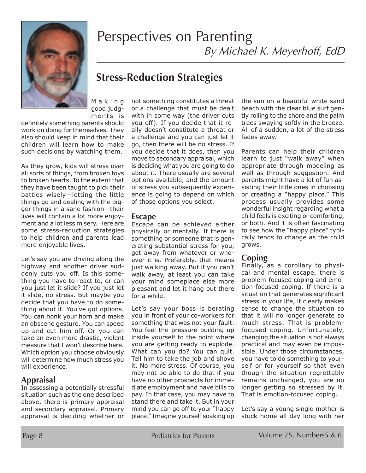

# Perspectives on Parenting By Michael K. Meyerhoff, EdD

### **Stress-Reduction Strategies**

M a k i n g good judgments is

definitely something parents should work on doing for themselves. They also should keep in mind that their children will learn how to make such decisions by watching them.

As they grow, kids will stress over all sorts of things, from broken toys to broken hearts. To the extent that they have been taught to pick their battles wisely—letting the little things go and dealing with the bigger things in a sane fashion—their lives will contain a lot more enjoyment and a lot less misery. Here are some stress-reduction strategies to help children and parents lead more enjoyable lives.

Let's say you are driving along the highway and another driver suddenly cuts you off. Is this something you have to react to, or can you just let it slide? If you just let it slide, no stress. But maybe you decide that you have to do something about it. You've got options. You can honk your horn and make an obscene gesture. You can speed up and cut him off. Or you can take an even more drastic, violent measure that I won't describe here. Which option you choose obviously will determine how much stress you will experience.

### **Appraisal**

In assessing a potentially stressful situation such as the one described above, there is primary appraisal and secondary appraisal. Primary appraisal is deciding whether or

not something constitutes a threat or a challenge that must be dealt with in some way (the driver cuts you off). If you decide that it really doesn't constitute a threat or a challenge and you can just let it go, then there will be no stress. If you decide that it does, then you move to secondary appraisal, which is deciding what you are going to do about it. There usually are several options available, and the amount of stress you subsequently experience is going to depend on which of those options you select.

#### **Escape**

Escape can be achieved either physically or mentally. If there is something or someone that is generating substantial stress for you, get away from whatever or whoever it is. Preferably, that means just walking away. But if you can't walk away, at least you can take your mind someplace else more pleasant and let it hang out there for a while.

Let's say your boss is berating you in front of your co-workers for something that was not your fault. You feel the pressure building up inside yourself to the point where you are getting ready to explode. What can you do? You can quit. Tell him to take the job and shove it. No more stress. Of course, you may not be able to do that if you have no other prospects for immediate employment and have bills to pay. In that case, you may have to stand there and take it. But in your mind you can go off to your "happy place." Imagine yourself soaking up

the sun on a beautiful white sand beach with the clear blue surf gently rolling to the shore and the palm trees swaying softly in the breeze. All of a sudden, a lot of the stress fades away.

Parents can help their children learn to just "walk away" when appropriate through modeling as well as through suggestion. And parents might have a lot of fun assisting their little ones in choosing or creating a "happy place." This process usually provides some wonderful insight regarding what a child feels is exciting or comforting, or both. And it is often fascinating to see how the "happy place" typically tends to change as the child grows.

### **Coping**

Finally, as a corollary to physical and mental escape, there is problem-focused coping and emotion-focused coping. If there is a situation that generates significant stress in your life, it clearly makes sense to change the situation so that it will no longer generate so much stress. That is problemfocused coping. Unfortunately, changing the situation is not always practical and may even be impossible. Under those circumstances, you have to do something to yourself or for yourself so that even though the situation regrettably remains unchanged, you are no longer getting so stressed by it. That is emotion-focused coping.

Let's say a young single mother is stuck home all day long with her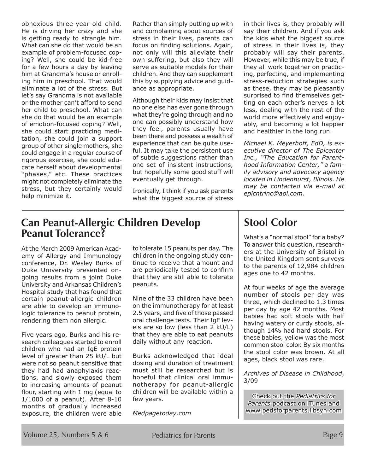obnoxious three-year-old child. He is driving her crazy and she is getting ready to strangle him. What can she do that would be an example of problem-focused coping? Well, she could be kid-free for a few hours a day by leaving him at Grandma's house or enrolling him in preschool. That would eliminate a lot of the stress. But let's say Grandma is not available or the mother can't afford to send her child to preschool. What can she do that would be an example of emotion-focused coping? Well, she could start practicing meditation, she could join a support group of other single mothers, she could engage in a regular course of rigorous exercise, she could educate herself about developmental "phases," etc. These practices might not completely eliminate the stress, but they certainly would help minimize it.

Rather than simply putting up with and complaining about sources of stress in their lives, parents can focus on finding solutions. Again, not only will this alleviate their own suffering, but also they will serve as suitable models for their children. And they can supplement this by supplying advice and guidance as appropriate.

Although their kids may insist that no one else has ever gone through what they're going through and no one can possibly understand how they feel, parents usually have been there and possess a wealth of experience that can be quite useful. It may take the persistent use of subtle suggestions rather than one set of insistent instructions, but hopefully some good stuff will eventually get through.

Ironically, I think if you ask parents what the biggest source of stress in their lives is, they probably will say their children. And if you ask the kids what the biggest source of stress in their lives is, they probably will say their parents. However, while this may be true, if they all work together on practicing, perfecting, and implementing stress-reduction strategies such as these, they may be pleasantly surprised to find themselves getting on each other's nerves a lot less, dealing with the rest of the world more effectively and enjoyably, and becoming a lot happier and healthier in the long run.

*Michael K. Meyerhoff, EdD, is executive director of The Epicenter Inc., "The Education for Parenthood Information Center," a family advisory and advocacy agency located in Lindenhurst, Illinois. He may be contacted via e-mail at epicntrinc@aol.com.*

### **Can Peanut-Allergic Children Develop Peanut Tolerance?**

At the March 2009 American Academy of Allergy and Immunology conference, Dr. Wesley Burks of Duke University presented ongoing results from a joint Duke University and Arkansas Children's Hospital study that has found that certain peanut-allergic children are able to develop an immunologic tolerance to peanut protein, rendering them non allergic.

Five years ago, Burks and his research colleagues started to enroll children who had an IgE protein level of greater than 25 kU/L but were not so peanut sensitive that they had had anaphylaxis reactions, and slowly exposed them to increasing amounts of peanut flour, starting with 1 mg (equal to 1/1000 of a peanut). After 8-10 months of gradually increased exposure, the children were able to tolerate 15 peanuts per day. The children in the ongoing study continue to receive that amount and are periodically tested to confirm that they are still able to tolerate peanuts.

Nine of the 33 children have been on the immunotherapy for at least 2.5 years, and five of those passed oral challenge tests. Their IgE levels are so low (less than 2 kU/L) that they are able to eat peanuts daily without any reaction.

Burks acknowledged that ideal dosing and duration of treatment must still be researched but is hopeful that clinical oral immunotherapy for peanut-allergic children will be available within a few years.

*Medpagetoday.com*

### **Stool Color**

What's a "normal stool" for a baby? To answer this question, researchers at the University of Bristol in the United Kingdom sent surveys to the parents of 12,984 children ages one to 42 months.

At four weeks of age the average number of stools per day was three, which declined to 1.3 times per day by age 42 months. Most babies had soft stools with half having watery or curdy stools, although 14% had hard stools. For these babies, yellow was the most common stool color. By six months the stool color was brown. At all ages, black stool was rare.

*Archives of Disease in Childhood*, 3/09

Check out the *Pediatrics for Parents* podcast on iTunes and www.pedsforparents.libsyn.com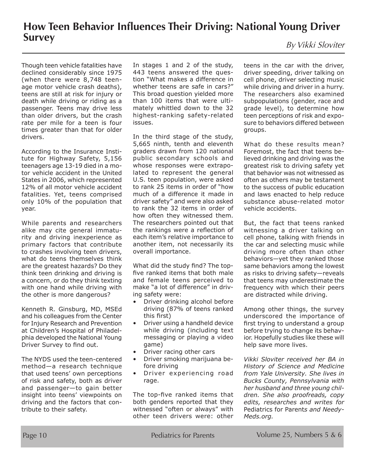# **How Teen Behavior Influences Their Driving: National Young Driver Survey** By Vikki Sloviter

Though teen vehicle fatalities have declined considerably since 1975 (when there were 8,748 teenage motor vehicle crash deaths), teens are still at risk for injury or death while driving or riding as a passenger. Teens may drive less than older drivers, but the crash rate per mile for a teen is four times greater than that for older drivers.

According to the Insurance Institute for Highway Safety, 5,156 teenagers age 13-19 died in a motor vehicle accident in the United States in 2006, which represented 12% of all motor vehicle accident fatalities. Yet, teens comprised only 10% of the population that year.

While parents and researchers alike may cite general immaturity and driving inexperience as primary factors that contribute to crashes involving teen drivers, what do teens themselves think are the greatest hazards? Do they think teen drinking and driving is a concern, or do they think texting with one hand while driving with the other is more dangerous?

Kenneth R. Ginsburg, MD, MSEd and his colleagues from the Center for Injury Research and Prevention at Children's Hospital of Philadelphia developed the National Young Driver Survey to find out.

The NYDS used the teen-centered method—a research technique that used teens' own perceptions of risk and safety, both as driver and passenger—to gain better insight into teens' viewpoints on driving and the factors that contribute to their safety.

In stages 1 and 2 of the study, 443 teens answered the question "What makes a difference in whether teens are safe in cars?" This broad question yielded more than 100 items that were ultimately whittled down to the 32 highest-ranking safety-related issues.

In the third stage of the study, 5,665 ninth, tenth and eleventh graders drawn from 120 national public secondary schools and whose responses were extrapolated to represent the general U.S. teen population, were asked to rank 25 items in order of "how much of a difference it made in driver safety" and were also asked to rank the 32 items in order of how often they witnessed them. The researchers pointed out that the rankings were a reflection of each item's relative importance to another item, not necessarily its overall importance.

What did the study find? The topfive ranked items that both male and female teens perceived to make "a lot of difference" in driving safety were:

- Driver drinking alcohol before driving (87% of teens ranked this first)
- Driver using a handheld device while driving (including text messaging or playing a video game)
- Driver racing other cars
- Driver smoking marijuana before driving
- Driver experiencing road rage.

The top-five ranked items that both genders reported that they witnessed "often or always" with other teen drivers were: other

teens in the car with the driver, driver speeding, driver talking on cell phone, driver selecting music while driving and driver in a hurry. The researchers also examined subpopulations (gender, race and grade level), to determine how teen perceptions of risk and exposure to behaviors differed between groups.

What do these results mean? Foremost, the fact that teens believed drinking and driving was the greatest risk to driving safety yet that behavior was not witnessed as often as others may be testament to the success of public education and laws enacted to help reduce substance abuse-related motor vehicle accidents.

But, the fact that teens ranked witnessing a driver talking on cell phone, talking with friends in the car and selecting music while driving more often than other behaviors—yet they ranked those same behaviors among the lowest as risks to driving safety—reveals that teens may underestimate the frequency with which their peers are distracted while driving.

Among other things, the survey underscored the importance of first trying to understand a group before trying to change its behavior. Hopefully studies like these will help save more lives.

*Vikki Sloviter received her BA in History of Science and Medicine from Yale University. She lives in Bucks County, Pennsylvania with her husband and three young children. She also proofreads, copy edits, researches and writes for*  Pediatrics for Parent*s and Needy-Meds.org.*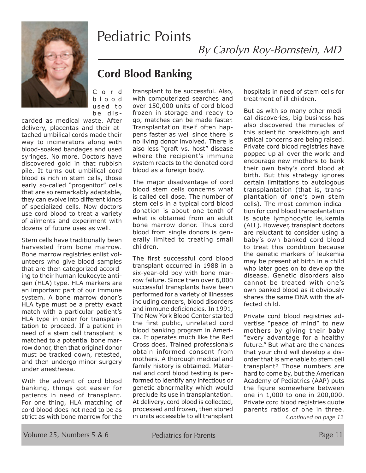# Pediatric Points



C o r d b l o o d used to be dis -

carded as medical waste. After delivery, placentas and their attached umbilical cords made their way to incinerators along with blood-soaked bandages and used syringes. No more. Doctors have discovered gold in that rubbish pile. It turns out umbilical cord blood is rich in stem cells, those early so-called "progenitor" cells that are so remarkably adaptable, they can evolve into different kinds of specialized cells. Now doctors use cord blood to treat a variety of ailments and experiment with dozens of future uses as well.

Stem cells have traditionally been harvested from bone marrow. Bone marrow registries enlist volunteers who give blood samples that are then categorized according to their human leukocyte antigen (HLA) type. HLA markers are an important part of our immune system. A bone marrow donor's HLA type must be a pretty exact match with a particular patient's HLA type in order for transplantation to proceed. If a patient in need of a stem cell transplant is matched to a potential bone marrow donor, then that original donor must be tracked down, retested, and then undergo minor surgery under anesthesia.

With the advent of cord blood banking, things got easier for patients in need of transplant. For one thing, HLA matching of cord blood does not need to be as strict as with bone marrow for the

### **Cord Blood Banking**

transplant to be successful. Also, with computerized searches and over 150,000 units of cord blood frozen in storage and ready to go, matches can be made faster. Transplantation itself often happens faster as well since there is no living donor involved. There is also less "graft vs. host" disease where the recipient's immune system reacts to the donated cord blood as a foreign body.

The major disadvantage of cord blood stem cells concerns what is called cell dose. The number of stem cells in a typical cord blood donation is about one tenth of what is obtained from an adult bone marrow donor. Thus cord blood from single donors is generally limited to treating small children.

The first successful cord blood transplant occurred in 1988 in a six-year-old boy with bone marrow failure. Since then over 6,000 successful transplants have been performed for a variety of illnesses including cancers, blood disorders and immune deficiencies. In 1991, The New York Blood Center started the first public, unrelated cord blood banking program in America. It operates much like the Red Cross does. Trained professionals obtain informed consent from mothers. A thorough medical and family history is obtained. Maternal and cord blood testing is performed to identify any infectious or genetic abnormality which would preclude its use in transplantation. At delivery, cord blood is collected, processed and frozen, then stored in units accessible to all transplant hospitals in need of stem cells for treatment of ill children.

By Carolyn Roy-Bornstein, MD

But as with so many other medical discoveries, big business has also discovered the miracles of this scientific breakthrough and ethical concerns are being raised. Private cord blood registries have popped up all over the world and encourage new mothers to bank their own baby's cord blood at birth. But this strategy ignores certain limitations to autologous transplantation (that is, transplantation of one's own stem cells). The most common indication for cord blood transplantation is acute lymphocytic leukemia (ALL). However, transplant doctors are reluctant to consider using a baby's own banked cord blood to treat this condition because the genetic markers of leukemia may be present at birth in a child who later goes on to develop the disease. Genetic disorders also cannot be treated with one's own banked blood as it obviously shares the same DNA with the affected child.

Private cord blood registries advertise "peace of mind" to new mothers by giving their baby "every advantage for a healthy future." But what are the chances that your child will develop a disorder that is amenable to stem cell transplant? Those numbers are hard to come by, but the American Academy of Pediatrics (AAP) puts the figure somewhere between one in 1,000 to one in 200,000. Private cord blood registries quote parents ratios of one in three.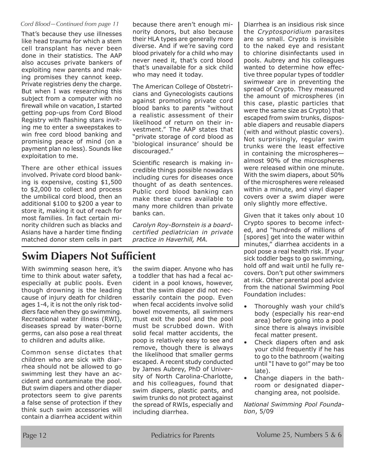#### *Cord Blood—Continued from page 11*

That's because they use illnesses like head trauma for which a stem cell transplant has never been done in their statistics. The AAP also accuses private bankers of exploiting new parents and making promises they cannot keep. Private registries deny the charge. But when I was researching this subject from a computer with no firewall while on vacation, I started getting pop-ups from Cord Blood Registry with flashing stars inviting me to enter a sweepstakes to win free cord blood banking and promising peace of mind (on a payment plan no less). Sounds like exploitation to me.

There are other ethical issues involved. Private cord blood banking is expensive, costing \$1,500 to \$2,000 to collect and process the umbilical cord blood, then an additional \$100 to \$200 a year to store it, making it out of reach for most families. In fact certain minority children such as blacks and Asians have a harder time finding matched donor stem cells in part because there aren't enough minority donors, but also because their HLA types are generally more diverse. And if we're saving cord blood privately for a child who may never need it, that's cord blood that's unavailable for a sick child who may need it today.

The American College of Obstetricians and Gynecologists cautions against promoting private cord blood banks to parents "without a realistic assessment of their likelihood of return on their investment." The AAP states that "private storage of cord blood as 'biological insurance' should be discouraged."

Scientific research is making incredible things possible nowadays including cures for diseases once thought of as death sentences. Public cord blood banking can make these cures available to many more children than private banks can.

*Carolyn Roy-Bornstein is a boardcertified pediatrician in private practice in Haverhill, MA.*

### **Swim Diapers Not Sufficient**

With swimming season here, it's time to think about water safety, especially at public pools. Even though drowning is the leading cause of injury death for children ages 1-4, it is not the only risk toddlers face when they go swimming. Recreational water illness (RWI), diseases spread by water-borne germs, can also pose a real threat to children and adults alike.

Common sense dictates that children who are sick with diarrhea should not be allowed to go swimming lest they have an accident and contaminate the pool. But swim diapers and other diaper protectors seem to give parents a false sense of protection if they think such swim accessories will contain a diarrhea accident within

the swim diaper. Anyone who has a toddler that has had a fecal accident in a pool knows, however, that the swim diaper did not necessarily contain the poop. Even when fecal accidents involve solid bowel movements, all swimmers must exit the pool and the pool must be scrubbed down. With solid fecal matter accidents, the poop is relatively easy to see and remove, though there is always the likelihood that smaller germs escaped. A recent study conducted by James Aubrey, PhD of University of North Carolina-Charlotte, and his colleagues, found that swim diapers, plastic pants, and swim trunks do not protect against the spread of RWIs, especially and including diarrhea.

Diarrhea is an insidious risk since the *Cryptosporidium* parasites are so small. Crypto is invisible to the naked eye and resistant to chlorine disinfectants used in pools. Aubrey and his colleagues wanted to determine how effective three popular types of toddler swimwear are in preventing the spread of Crypto. They measured the amount of microspheres (in this case, plastic particles that were the same size as Crypto) that escaped from swim trunks, disposable diapers and reusable diapers (with and without plastic covers). Not surprisingly, regular swim trunks were the least effective in containing the microspheres almost 90% of the microspheres were released within one minute. With the swim diapers, about 50% of the microspheres were released within a minute, and vinyl diaper covers over a swim diaper were only slightly more effective.

Given that it takes only about 10 Crypto spores to become infected, and "hundreds of millions of [spores] get into the water within minutes," diarrhea accidents in a pool pose a real health risk. If your sick toddler begs to go swimming, hold off and wait until he fully recovers. Don't put other swimmers at risk. Other parental pool advice from the national Swimming Pool Foundation includes:

- Thoroughly wash your child's body (especially his rear-end area) before going into a pool since there is always invisible fecal matter present.
- Check diapers often and ask your child frequently if he has to go to the bathroom (waiting until "I have to go!" may be too late).
- Change diapers in the bathroom or designated diaperchanging area, not poolside.

*National Swimming Pool Foundation*, 5/09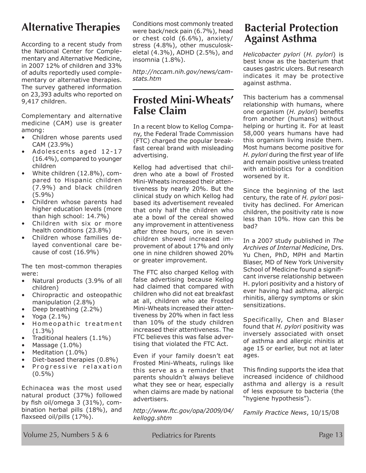### **Alternative Therapies**

According to a recent study from the National Center for Complementary and Alternative Medicine, in 2007 12% of children and 33% of adults reportedly used complementary or alternative therapies. The survey gathered information on 23,393 adults who reported on 9,417 children.

Complementary and alternative medicine (CAM) use is greater among:

- Children whose parents used CAM (23.9%)
- $\bullet$  Adolescents aged 12-17 (16.4%), compared to younger children
- White children (12.8%), compared to Hispanic children (7.9%) and black children (5.9%)
- Children whose parents had higher education levels (more than high school: 14.7%)
- Children with six or more health conditions (23.8%)
- Children whose families delayed conventional care because of cost (16.9%)

The ten most-common therapies were:

- Natural products (3.9% of all children)
- Chiropractic and osteopathic manipulation (2.8%)
- Deep breathing (2.2%)
- Yoga  $(2.1\%)$
- Homeopathic treatment (1.3%)
- Traditional healers (1.1%)
- Massage  $(1.0\%)$
- Meditation (1.0%)
- Diet-based therapies (0.8%)
- Progressive relaxation  $(0.5\%)$

Echinacea was the most used natural product (37%) followed by fish oil/omega 3 (31%), combination herbal pills (18%), and flaxseed oil/pills (17%).

Conditions most commonly treated were back/neck pain (6.7%), head or chest cold (6.6%), anxiety/ stress (4.8%), other musculoskeletal (4.3%), ADHD (2.5%), and insomnia (1.8%).

*http://nccam.nih.gov/news/camstats.htm*

### **Frosted Mini-Wheats' False Claim**

In a recent blow to Kellog Company, the Federal Trade Commission (FTC) charged the popular breakfast cereal brand with misleading advertising.

Kellog had advertised that children who ate a bowl of Frosted Mini-Wheats increased their attentiveness by nearly 20%. But the clinical study on which Kellog had based its advertisement revealed that only half the children who ate a bowl of the cereal showed any improvement in attentiveness after three hours, one in seven children showed increased improvement of about 17% and only one in nine children showed 20% or greater improvement.

The FTC also charged Kellog with false advertising because Kellog had claimed that compared with children who did not eat breakfast at all, children who ate Frosted Mini-Wheats increased their attentiveness by 20% when in fact less than 10% of the study children increased their attentiveness. The FTC believes this was false advertising that violated the FTC Act.

Even if your family doesn't eat Frosted Mini-Wheats, rulings like this serve as a reminder that parents shouldn't always believe what they see or hear, especially when claims are made by national advertisers.

*http://www.ftc.gov/opa/2009/04/ kellogg.shtm*

### **Bacterial Protection Against Asthma**

*Helicobacter pylori* (*H. pylori*) is best know as the bacterium that causes gastric ulcers. But research indicates it may be protective against asthma.

This bacterium has a commensal relationship with humans, where one organism (*H. pylori*) benefits from another (humans) without helping or hurting it. For at least 58,000 years humans have had this organism living inside them. Most humans become positive for *H. pylori* during the first year of life and remain positive unless treated with antibiotics for a condition worsened by it.

Since the beginning of the last century, the rate of *H. pylori* positivity has declined. For American children, the positivity rate is now less than 10%. How can this be bad?

In a 2007 study published in *The Archives of Internal Medicine*, Drs. Yu Chen, PhD, MPH and Martin Blaser, MD of New York University School of Medicine found a significant inverse relationship between H. pylori positivity and a history of ever having had asthma, allergic rhinitis, allergy symptoms or skin sensitizations.

Specifically, Chen and Blaser found that *H. pylori* positivity was inversely associated with onset of asthma and allergic rhinitis at age 15 or earlier, but not at later ages.

This finding supports the idea that increased incidence of childhood asthma and allergy is a result of less exposure to bacteria (the "hygiene hypothesis").

*Family Practice News*, 10/15/08

Volume 25, Numbers 5 & 6 Pediatrics for Parents Page 13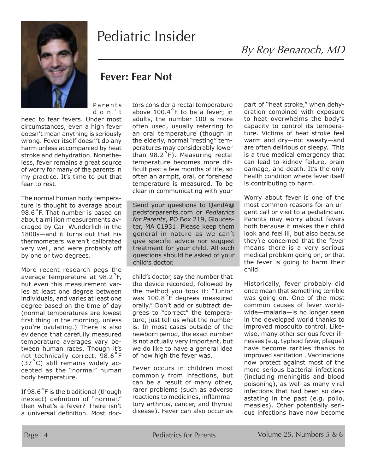

# Pediatric Insider

### **Fever: Fear Not**

**Parents** d o n ' t

need to fear fevers. Under most circumstances, even a high fever doesn't mean anything is seriously wrong. Fever itself doesn't do any harm unless accompanied by heat stroke and dehydration. Nonetheless, fever remains a great source of worry for many of the parents in my practice. It's time to put that fear to rest.

The normal human body temperature is thought to average about 98.6˚F. That number is based on about a million measurements averaged by Carl Wunderlich in the 1800s—and it turns out that his thermometers weren't calibrated very well, and were probably off by one or two degrees.

More recent research pegs the average temperature at 98.2˚F, but even this measurement varies at least one degree between individuals, and varies at least one degree based on the time of day (normal temperatures are lowest first thing in the morning, unless you're ovulating.) There is also evidence that carefully measured temperature averages vary between human races. Though it's not technically correct, 98.6˚F  $(37<sup>°</sup>C)$  still remains widely accepted as the "normal" human body temperature.

If 98.6˚F is the traditional (though inexact) definition of "normal," then what's a fever? There isn't a universal definition. Most doctors consider a rectal temperature above 100.4˚F to be a fever; in adults, the number 100 is more often used, usually referring to an oral temperature (though in the elderly, normal "resting" temperatures may considerably lower than 98.2˚F). Measuring rectal temperature becomes more difficult past a few months of life, so often an armpit, oral, or forehead temperature is measured. To be clear in communicating with your

Send your questions to QandA@ pedsforparents.com or *Pediatrics for Parents*, PO Box 219, Gloucester, MA 01931. Please keep them general in nature as we can't give specific advice nor suggest treatment for your child. All such questions should be asked of your child's doctor.

child's doctor, say the number that the device recorded, followed by the method you took it: "Junior was 100.8˚F degrees measured orally." Don't add or subtract degrees to "correct" the temperature, just tell us what the number is. In most cases outside of the newborn period, the exact number is not actually very important, but we do like to have a general idea of how high the fever was.

Fever occurs in children most commonly from infections, but can be a result of many other, rarer problems (such as adverse reactions to medicines, inflammatory arthritis, cancer, and thyroid disease). Fever can also occur as

part of "heat stroke," when dehydration combined with exposure to heat overwhelms the body's capacity to control its temperature. Victims of heat stroke feel warm and dry—not sweaty—and are often delirious or sleepy. This is a true medical emergency that can lead to kidney failure, brain damage, and death. It's the only health condition where fever itself is contributing to harm.

Worry about fever is one of the most common reasons for an urgent call or visit to a pediatrician. Parents may worry about fevers both because it makes their child look and feel ill, but also because they're concerned that the fever means there is a very serious medical problem going on, or that the fever is going to harm their child.

Historically, fever probably did once mean that something terrible was going on. One of the most common causes of fever worldwide—malaria—is no longer seen in the developed world thanks to improved mosquito control. Likewise, many other serious fever illnesses (e.g. typhoid fever, plague) have become rarities thanks to improved sanitation . Vaccinations now protect against most of the more serious bacterial infections (including meningitis and blood poisoning), as well as many viral infections that had been so devastating in the past (e.g. polio, measles). Other potentially serious infections have now become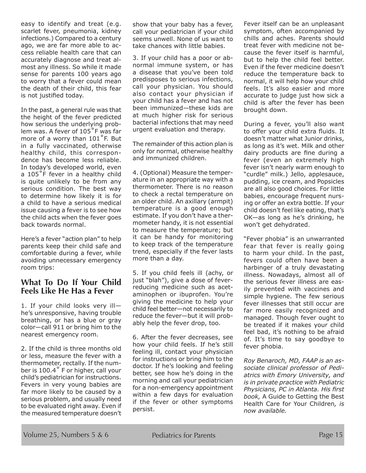easy to identify and treat (e.g. scarlet fever, pneumonia, kidney infections.) Compared to a century ago, we are far more able to access reliable health care that can accurately diagnose and treat almost any illness. So while it made sense for parents 100 years ago to worry that a fever could mean the death of their child, this fear is not justified today.

In the past, a general rule was that the height of the fever predicted how serious the underlying problem was. A fever of 105˚F was far more of a worry than 101˚F. But in a fully vaccinated, otherwise healthy child, this correspondence has become less reliable. In today's developed world, even a 105°F fever in a healthy child is quite unlikely to be from any serious condition. The best way to determine how likely it is for a child to have a serious medical issue causing a fever is to see how the child acts when the fever goes back towards normal.

Here's a fever "action plan" to help parents keep their child safe and comfortable during a fever, while avoiding unnecessary emergency room trips:

### **What To Do If Your Child Feels Like He Has a Fever**

1. If your child looks very ill he's unresponsive, having trouble breathing, or has a blue or gray color—call 911 or bring him to the nearest emergency room.

2. If the child is three months old or less, measure the fever with a thermometer, rectally. If the number is 100.4˚ F or higher, call your child's pediatrician for instructions. Fevers in very young babies are far more likely to be caused by a serious problem, and usually need to be evaluated right away. Even if the measured temperature doesn't show that your baby has a fever, call your pediatrician if your child seems unwell. None of us want to take chances with little babies.

3. If your child has a poor or abnormal immune system, or has a disease that you've been told predisposes to serious infections, call your physician. You should also contact your physician if your child has a fever and has not been immunized—these kids are at much higher risk for serious bacterial infections that may need urgent evaluation and therapy.

The remainder of this action plan is only for normal, otherwise healthy and immunized children.

4. (Optional) Measure the temperature in an appropriate way with a thermometer. There is no reason to check a rectal temperature on an older child. An axillary (armpit) temperature is a good enough estimate. If you don't have a thermometer handy, it is not essential to measure the temperature; but it can be handy for monitoring to keep track of the temperature trend, especially if the fever lasts more than a day.

5. If you child feels ill (achy, or just "blah"), give a dose of feverreducing medicine such as acetaminophen or ibuprofen. You're giving the medicine to help your child feel better—not necessarily to reduce the fever—but it will probably help the fever drop, too.

6. After the fever decreases, see how your child feels. If he's still feeling ill, contact your physician for instructions or bring him to the doctor. If he's looking and feeling better, see how he's doing in the morning and call your pediatrician for a non-emergency appointment within a few days for evaluation if the fever or other symptoms persist.

Fever itself can be an unpleasant symptom, often accompanied by chills and aches. Parents should treat fever with medicine not because the fever itself is harmful, but to help the child feel better. Even if the fever medicine doesn't reduce the temperature back to normal, it will help how your child feels. It's also easier and more accurate to judge just how sick a child is after the fever has been brought down.

During a fever, you'll also want to offer your child extra fluids. It doesn't matter what Junior drinks, as long as it's wet. Milk and other dairy products are fine during a fever (even an extremely high fever isn't nearly warm enough to "curdle" milk.) Jello, applesauce, pudding, ice cream, and Popsicles are all also good choices. For little babies, encourage frequent nursing or offer an extra bottle. If your child doesn't feel like eating, that's OK—as long as he's drinking, he won't get dehydrated.

"Fever phobia" is an unwarranted fear that fever is really going to harm your child. In the past, fevers could often have been a harbinger of a truly devastating illness. Nowadays, almost all of the serious fever illness are easily prevented with vaccines and simple hygiene. The few serious fever illnesses that still occur are far more easily recognized and managed. Though fever ought to be treated if it makes your child feel bad, it's nothing to be afraid of. It's time to say goodbye to fever phobia.

*Roy Benaroch, MD, FAAP is an associate clinical professor of Pediatrics with Emory University, and is in private practice with Pediatric Physicians, PC in Atlanta. His first book,* A Guide to Getting the Best Health Care for Your Children*, is now available.*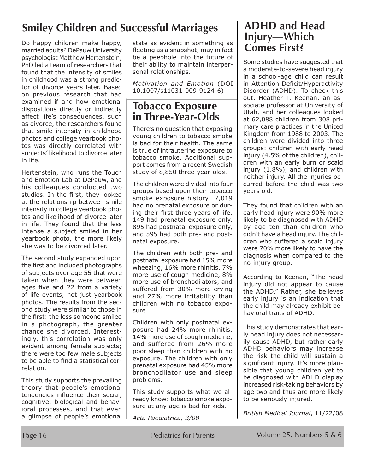### **Smiley Children and Successful Marriages**

Do happy children make happy, married adults? DePauw University psychologist Matthew Hertenstein, PhD led a team of researchers that found that the intensity of smiles in childhood was a strong predictor of divorce years later. Based on previous research that had examined if and how emotional dispositions directly or indirectly affect life's consequences, such as divorce, the researchers found that smile intensity in childhood photos and college yearbook photos was directly correlated with subjects' likelihood to divorce later in life.

Hertenstein, who runs the Touch and Emotion Lab at DePauw, and his colleagues conducted two studies. In the first, they looked at the relationship between smile intensity in college yearbook photos and likelihood of divorce later in life. They found that the less intense a subject smiled in her yearbook photo, the more likely she was to be divorced later.

The second study expanded upon the first and included photographs of subjects over age 55 that were taken when they were between ages five and 22 from a variety of life events, not just yearbook photos. The results from the second study were similar to those in the first: the less someone smiled in a photograph, the greater chance she divorced. Interestingly, this correlation was only evident among female subjects; there were too few male subjects to be able to find a statistical correlation.

This study supports the prevailing theory that people's emotional tendencies influence their social, cognitive, biological and behavioral processes, and that even a glimpse of people's emotional

state as evident in something as fleeting as a snapshot, may in fact be a peephole into the future of their ability to maintain interpersonal relationships.

*Motivation and Emotion* (DOI 10.1007/s11031-009-9124-6)

### **Tobacco Exposure in Three-Year-Olds**

There's no question that exposing young children to tobacco smoke is bad for their health. The same is true of intrauterine exposure to tobacco smoke. Additional support comes from a recent Swedish study of 8,850 three-year-olds.

The children were divided into four groups based upon their tobacco smoke exposure history: 7,019 had no prenatal exposure or during their first three years of life, 149 had prenatal exposure only, 895 had postnatal exposure only, and 595 had both pre- and postnatal exposure.

The children with both pre- and postnatal exposure had 15% more wheezing, 16% more rhinitis, 7% more use of cough medicine, 8% more use of bronchodilators, and suffered from 30% more crying and 27% more irritability than children with no tobacco exposure.

Children with only postnatal exposure had 24% more rhinitis, 14% more use of cough medicine, and suffered from 26% more poor sleep than children with no exposure. The children with only prenatal exposure had 45% more bronchodilator use and sleep problems.

This study supports what we already know: tobacco smoke exposure at any age is bad for kids.

*Acta Paediatrica, 3/08*

### **ADHD and Head Injury—Which Comes First?**

Some studies have suggested that a moderate-to-severe head injury in a school-age child can result in Attention-Deficit/Hyperactivity Disorder (ADHD). To check this out, Heather T. Keenan, an associate professor at University of Utah, and her colleagues looked at 62,088 children from 308 primary care practices in the United Kingdom from 1988 to 2003. The children were divided into three groups: children with early head injury (4.5% of the children), children with an early burn or scald injury (1.8%), and children with neither injury. All the injuries occurred before the child was two years old.

They found that children with an early head injury were 90% more likely to be diagnosed with ADHD by age ten than children who didn't have a head injury. The children who suffered a scald injury were 70% more likely to have the diagnosis when compared to the no-injury group.

According to Keenan, "The head injury did not appear to cause the ADHD." Rather, she believes early injury is an indication that the child may already exhibit behavioral traits of ADHD.

This study demonstrates that early head injury does not necessarily cause ADHD, but rather early ADHD behaviors may increase the risk the child will sustain a significant injury. It's more plausible that young children yet to be diagnosed with ADHD display increased risk-taking behaviors by age two and thus are more likely to be seriously injured.

*British Medical Journal*, 11/22/08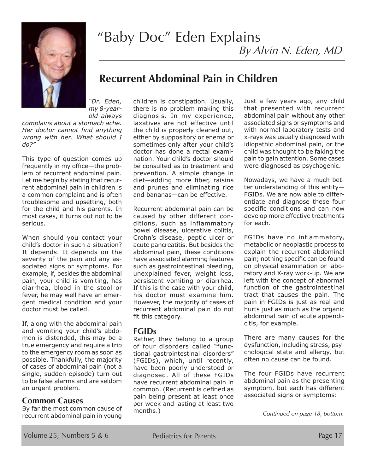

# "Baby Doc" Eden Explains

By Alvin N. Eden, MD

### **Recurrent Abdominal Pain in Children**

*"Dr. Eden, my 8-year-*

*old always complains about a stomach ache. Her doctor cannot find anything wrong with her. What should I do?"*

This type of question comes up frequently in my office—the problem of recurrent abdominal pain. Let me begin by stating that recurrent abdominal pain in children is a common complaint and is often troublesome and upsetting, both for the child and his parents. In most cases, it turns out not to be serious.

When should you contact your child's doctor in such a situation? It depends. It depends on the severity of the pain and any associated signs or symptoms. For example, if, besides the abdominal pain, your child is vomiting, has diarrhea, blood in the stool or fever, he may well have an emergent medical condition and your doctor must be called.

If, along with the abdominal pain and vomiting your child's abdomen is distended, this may be a true emergency and require a trip to the emergency room as soon as possible. Thankfully, the majority of cases of abdominal pain (not a single, sudden episode) turn out to be false alarms and are seldom an urgent problem.

#### **Common Causes**

By far the most common cause of recurrent abdominal pain in young children is constipation. Usually, there is no problem making this diagnosis. In my experience, laxatives are not effective until the child is properly cleaned out, either by suppository or enema or sometimes only after your child's doctor has done a rectal examination. Your child's doctor should be consulted as to treatment and prevention. A simple change in diet—adding more fiber, raisins and prunes and eliminating rice and bananas—can be effective.

Recurrent abdominal pain can be caused by other different conditions, such as inflammatory bowel disease, ulcerative colitis, Crohn's disease, peptic ulcer or acute pancreatitis. But besides the abdominal pain, these conditions have associated alarming features such as gastrointestinal bleeding, unexplained fever, weight loss, persistent vomiting or diarrhea. If this is the case with your child, his doctor must examine him. However, the majority of cases of recurrent abdominal pain do not fit this category.

### **FGIDs**

Rather, they belong to a group of four disorders called "functional gastrointestinal disorders" (FGIDs), which, until recently, have been poorly understood or diagnosed. All of these FGIDs have recurrent abdominal pain in common. (Recurrent is defined as pain being present at least once per week and lasting at least two months.)

Just a few years ago, any child that presented with recurrent abdominal pain without any other associated signs or symptoms and with normal laboratory tests and x-rays was usually diagnosed with idiopathic abdominal pain, or the child was thought to be faking the pain to gain attention. Some cases were diagnosed as psychogenic.

Nowadays, we have a much better understanding of this entity— FGIDs. We are now able to differentiate and diagnose these four specific conditions and can now develop more effective treatments for each.

FGIDs have no inflammatory, metabolic or neoplastic process to explain the recurrent abdominal pain; nothing specific can be found on physical examination or laboratory and X-ray work-up. We are left with the concept of abnormal function of the gastrointestinal tract that causes the pain. The pain in FGIDs is just as real and hurts just as much as the organic abdominal pain of acute appendicitis, for example.

There are many causes for the dysfunction, including stress, psychological state and allergy, but often no cause can be found.

The four FGIDs have recurrent abdominal pain as the presenting symptom, but each has different associated signs or symptoms:

*Continued on page 18, bottom.*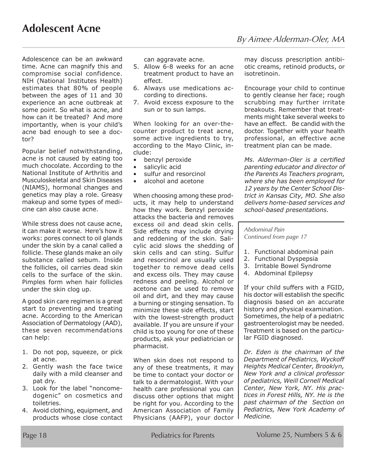Adolescence can be an awkward time. Acne can magnify this and compromise social confidence. NIH (National Institutes Health) estimates that 80% of people between the ages of 11 and 30 experience an acne outbreak at some point. So what is acne, and how can it be treated? And more importantly, when is your child's acne bad enough to see a doctor?

Popular belief notwithstanding, acne is not caused by eating too much chocolate. According to the National Institute of Arthritis and Musculoskeletal and Skin Diseases (NIAMS), hormonal changes and genetics may play a role. Greasy makeup and some types of medicine can also cause acne.

While stress does not cause acne, it can make it worse. Here's how it works: pores connect to oil glands under the skin by a canal called a follicle. These glands make an oily substance called sebum. Inside the follicles, oil carries dead skin cells to the surface of the skin. Pimples form when hair follicles under the skin clog up.

A good skin care regimen is a great start to preventing and treating acne. According to the American Association of Dermatology (AAD), these seven recommendations can help:

- 1. Do not pop, squeeze, or pick at acne.
- 2. Gently wash the face twice daily with a mild cleanser and pat dry.
- 3. Look for the label "noncomedogenic" on cosmetics and toiletries.
- 4. Avoid clothing, equipment, and products whose close contact

can aggravate acne.

- 5. Allow 6-8 weeks for an acne treatment product to have an effect.
- 6. Always use medications according to directions.
- 7. Avoid excess exposure to the sun or to sun lamps.

When looking for an over-thecounter product to treat acne, some active ingredients to try, according to the Mayo Clinic, include:

- benzyl peroxide
- salicylic acid
- sulfur and resorcinol
- alcohol and acetone

When choosing among these products, it may help to understand how they work. Benzyl peroxide attacks the bacteria and removes excess oil and dead skin cells. Side effects may include drying and reddening of the skin. Salicylic acid slows the shedding of skin cells and can sting. Sulfur and resorcinol are usually used together to remove dead cells and excess oils. They may cause redness and peeling. Alcohol or acetone can be used to remove oil and dirt, and they may cause a burning or stinging sensation. To minimize these side effects, start with the lowest-strength product available. If you are unsure if your child is too young for one of these products, ask your pediatrician or pharmacist.

When skin does not respond to any of these treatments, it may be time to contact your doctor or talk to a dermatologist. With your health care professional you can discuss other options that might be right for you. According to the American Association of Family Physicians (AAFP), your doctor may discuss prescription antibiotic creams, retinoid products, or isotretinoin.

Encourage your child to continue to gently cleanse her face; rough scrubbing may further irritate breakouts. Remember that treatments might take several weeks to have an effect. Be candid with the doctor. Together with your health professional, an effective acne treatment plan can be made.

*Ms. Alderman-Oler is a certified parenting educator and director of the Parents As Teachers program, where she has been employed for 12 years by the Center School District in Kansas City, MO. She also delivers home-based services and school-based presentations.*

#### *Abdominal Pain Continued from page 17*

- 1. Functional abdominal pain
- 2. Functional Dyspepsia
- 3. Irritable Bowel Syndrome
- 4. Abdominal Epilepsy

If your child suffers with a FGID, his doctor will establish the specific diagnosis based on an accurate history and physical examination. Sometimes, the help of a pediatric gastroenterologist may be needed. Treatment is based on the particular FGID diagnosed.

*Dr. Eden is the chairman of the Department of Pediatrics, Wyckoff Heights Medical Center, Brooklyn, New York and a clinical professor of pediatrics, Weill Cornell Medical Center, New York, NY. His practices in Forest Hills, NY. He is the past chairman of the Section on Pediatrics, New York Academy of Medicine.*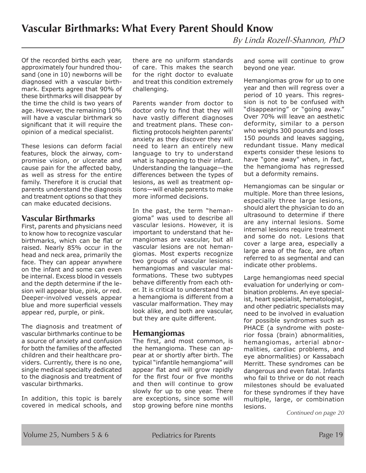Of the recorded births each year, approximately four hundred thousand (one in 10) newborns will be diagnosed with a vascular birthmark. Experts agree that 90% of these birthmarks will disappear by the time the child is two years of age. However, the remaining 10% will have a vascular birthmark so significant that it will require the opinion of a medical specialist.

These lesions can deform facial features, block the airway, compromise vision, or ulcerate and cause pain for the affected baby, as well as stress for the entire family. Therefore it is crucial that parents understand the diagnosis and treatment options so that they can make educated decisions.

### **Vascular Birthmarks**

First, parents and physicians need to know how to recognize vascular birthmarks, which can be flat or raised. Nearly 85% occur in the head and neck area, primarily the face. They can appear anywhere on the infant and some can even be internal. Excess blood in vessels and the depth determine if the lesion will appear blue, pink, or red. Deeper-involved vessels appear blue and more superficial vessels appear red, purple, or pink.

The diagnosis and treatment of vascular birthmarks continue to be a source of anxiety and confusion for both the families of the affected children and their healthcare providers. Currently, there is no one, single medical specialty dedicated to the diagnosis and treatment of vascular birthmarks.

In addition, this topic is barely covered in medical schools, and there are no uniform standards of care. This makes the search for the right doctor to evaluate and treat this condition extremely challenging.

Parents wander from doctor to doctor only to find that they will have vastly different diagnoses and treatment plans. These conflicting protocols heighten parents' anxiety as they discover they will need to learn an entirely new language to try to understand what is happening to their infant. Understanding the language—the differences between the types of lesions, as well as treatment options—will enable parents to make more informed decisions.

In the past, the term "hemangioma" was used to describe all vascular lesions. However, it is important to understand that hemangiomas are vascular, but all vascular lesions are not hemangiomas. Most experts recognize two groups of vascular lesions: hemangiomas and vascular malformations. These two subtypes behave differently from each other. It is critical to understand that a hemangioma is different from a vascular malformation. They may look alike, and both are vascular, but they are quite different.

#### **Hemangiomas**

The first, and most common, is the hemangioma. These can appear at or shortly after birth. The typical "infantile hemangioma" will appear flat and will grow rapidly for the first four or five months and then will continue to grow slowly for up to one year. There are exceptions, since some will stop growing before nine months

and some will continue to grow beyond one year.

Hemangiomas grow for up to one year and then will regress over a period of 10 years. This regression is not to be confused with "disappearing" or "going away." Over 70% will leave an aesthetic deformity, similar to a person who weighs 300 pounds and loses 150 pounds and leaves sagging, redundant tissue. Many medical experts consider these lesions to have "gone away" when, in fact, the hemangioma has regressed but a deformity remains.

Hemangiomas can be singular or multiple. More than three lesions, especially three large lesions, should alert the physician to do an ultrasound to determine if there are any internal lesions. Some internal lesions require treatment and some do not. Lesions that cover a large area, especially a large area of the face, are often referred to as segmental and can indicate other problems.

Large hemangiomas need special evaluation for underlying or combination problems. An eye specialist, heart specialist, hematologist, and other pediatric specialists may need to be involved in evaluation for possible syndromes such as PHACE (a syndrome with posterior fossa (brain) abnormalities, hemangiomas, arterial abnormalities, cardiac problems, and eye abnormalities) or Kassabach Merritt. These syndromes can be dangerous and even fatal. Infants who fail to thrive or do not reach milestones should be evaluated for these syndromes if they have multiple, large, or combination lesions.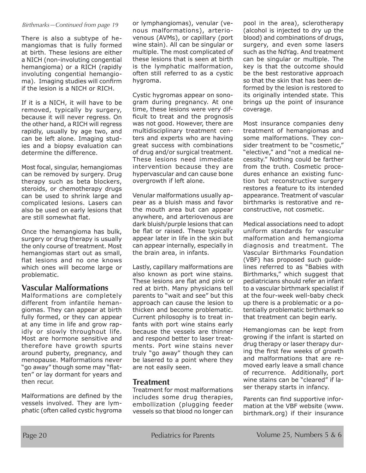#### *Birthmarks—Continued from page 19*

There is also a subtype of hemangiomas that is fully formed at birth. These lesions are either a NICH (non-involuting congential hemangioma) or a RICH (rapidly involuting congential hemangioma). Imaging studies will confirm if the lesion is a NICH or RICH.

If it is a NICH, it will have to be removed, typically by surgery, because it will never regress. On the other hand, a RICH will regress rapidly, usually by age two, and can be left alone. Imaging studies and a biopsy evaluation can determine the difference.

Most focal, singular, hemangiomas can be removed by surgery. Drug therapy such as beta blockers, steroids, or chemotherapy drugs can be used to shrink large and complicated lesions. Lasers can also be used on early lesions that are still somewhat flat.

Once the hemangioma has bulk, surgery or drug therapy is usually the only course of treatment. Most hemangiomas start out as small, flat lesions and no one knows which ones will become large or problematic.

### **Vascular Malformations**

Malformations are completely different from infantile hemangiomas. They can appear at birth fully formed, or they can appear at any time in life and grow rapidly or slowly throughout life. Most are hormone sensitive and therefore have growth spurts around puberty, pregnancy, and menopause. Malformations never "go away" though some may "flatten" or lay dormant for years and then recur.

Malformations are defined by the vessels involved. They are lymphatic (often called cystic hygroma or lymphangiomas), venular (venous malformations), arteriovenous (AVMs), or capillary (port wine stain). All can be singular or multiple. The most complicated of these lesions that is seen at birth is the lymphatic malformation, often still referred to as a cystic hygroma.

Cystic hygromas appear on sonogram during pregnancy. At one time, these lesions were very difficult to treat and the prognosis was not good. However, there are multidisciplinary treatment centers and experts who are having great success with combinations of drug and/or surgical treatment. These lesions need immediate intervention because they are hypervascular and can cause bone overgrowth if left alone.

Venular malformations usually appear as a bluish mass and favor the mouth area but can appear anywhere, and arteriovenous are dark bluish/purple lesions that can be flat or raised. These typically appear later in life in the skin but can appear internally, especially in the brain area, in infants.

Lastly, capillary malformations are also known as port wine stains. These lesions are flat and pink or red at birth. Many physicians tell parents to "wait and see" but this approach can cause the lesion to thicken and become problematic. Current philosophy is to treat infants with port wine stains early because the vessels are thinner and respond better to laser treatments. Port wine stains never truly "go away" though they can be lasered to a point where they are not easily seen.

#### **Treatment**

Treatment for most malformations includes some drug therapies, embollization (plugging feeder vessels so that blood no longer can

pool in the area), sclerotherapy (alcohol is injected to dry up the blood) and combinations of drugs, surgery, and even some lasers such as the NdYag. And treatment can be singular or multiple. The key is that the outcome should be the best restorative approach so that the skin that has been deformed by the lesion is restored to its originally intended state. This brings up the point of insurance coverage.

Most insurance companies deny treatment of hemangiomas and some malformations. They consider treatment to be "cosmetic," "elective," and "not a medical necessity." Nothing could be farther from the truth. Cosmetic procedures enhance an existing function but reconstructive surgery restores a feature to its intended appearance. Treatment of vascular birthmarks is restorative and reconstructive, not cosmetic.

Medical associations need to adopt uniform standards for vascular malformation and hemangioma diagnosis and treatment. The Vascular Birthmarks Foundation (VBF) has proposed such guidelines referred to as "Babies with Birthmarks," which suggest that pediatricians should refer an infant to a vascular birthmark specialist if at the four-week well-baby check up there is a problematic or a potentially problematic birthmark so that treatment can begin early.

Hemangiomas can be kept from growing if the infant is started on drug therapy or laser therapy during the first few weeks of growth and malformations that are removed early leave a small chance of recurrence. Additionally, port wine stains can be "cleared" if laser therapy starts in infancy.

Parents can find supportive information at the VBF website (www. birthmark.org) if their insurance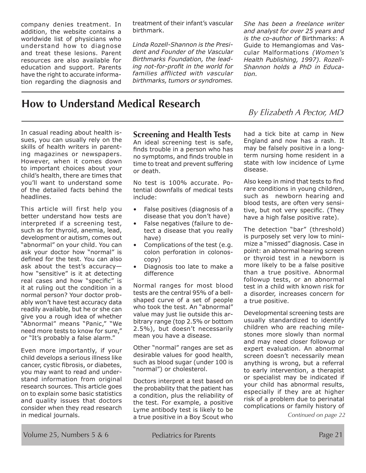company denies treatment. In addition, the website contains a worldwide list of physicians who understand how to diagnose and treat these lesions. Parent resources are also available for education and support. Parents have the right to accurate information regarding the diagnosis and treatment of their infant's vascular birthmark.

*Linda Rozell-Shannon is the President and Founder of the Vascular Birthmarks Foundation, the leading not-for-profit in the world for families afflicted with vascular birthmarks, tumors or syndromes.*  *She has been a freelance writer and analyst for over 25 years and is the co-author of* Birthmarks: A Guide to Hemangiomas and Vascular Malformations *(Women's Health Publishing, 1997). Rozell-Shannon holds a PhD in Education.*

### **How to Understand Medical Research**

By Elizabeth A Pector, MD

In casual reading about health issues, you can usually rely on the skills of health writers in parenting magazines or newspapers. However, when it comes down to important choices about your child's health, there are times that you'll want to understand some of the detailed facts behind the headlines.

This article will first help you better understand how tests are interpreted if a screening test, such as for thyroid, anemia, lead, development or autism, comes out "abnormal" on your child. You can ask your doctor how "normal" is defined for the test. You can also ask about the test's accuracy how "sensitive" is it at detecting real cases and how "specific" is it at ruling out the condition in a normal person? Your doctor probably won't have test accuracy data readily available, but he or she can give you a rough idea of whether "Abnormal" means "Panic," "We need more tests to know for sure," or "It's probably a false alarm."

Even more importantly, if your child develops a serious illness like cancer, cystic fibrosis, or diabetes, you may want to read and understand information from original research sources. This article goes on to explain some basic statistics and quality issues that doctors consider when they read research in medical journals.

### **Screening and Health Tests**

An ideal screening test is safe, finds trouble in a person who has no symptoms, and finds trouble in time to treat and prevent suffering or death.

No test is 100% accurate. Potential downfalls of medical tests include:

- False positives (diagnosis of a disease that you don't have)
- False negatives (failure to detect a disease that you really have)
- Complications of the test (e.g. colon perforation in colonoscopy)
- Diagnosis too late to make a difference

Normal ranges for most blood tests are the central 95% of a bellshaped curve of a set of people who took the test. An "abnormal" value may just lie outside this arbitrary range (top 2.5% or bottom 2.5%), but doesn't necessarily mean you have a disease.

Other "normal" ranges are set as desirable values for good health, such as blood sugar (under 100 is "normal") or cholesterol.

Doctors interpret a test based on the probability that the patient has a condition, plus the reliability of the test. For example, a positive Lyme antibody test is likely to be a true positive in a Boy Scout who

had a tick bite at camp in New England and now has a rash. It may be falsely positive in a longterm nursing home resident in a state with low incidence of Lyme disease.

Also keep in mind that tests to find rare conditions in young children, such as newborn hearing and blood tests, are often very sensitive, but not very specific. (They have a high false positive rate).

The detection "bar" (threshold) is purposely set very low to minimize a "missed" diagnosis. Case in point: an abnormal hearing screen or thyroid test in a newborn is more likely to be a false positive than a true positive. Abnormal followup tests, or an abnormal test in a child with known risk for a disorder, increases concern for a true positive.

Developmental screening tests are usually standardized to identify children who are reaching milestones more slowly than normal and may need closer followup or expert evaluation. An abnormal screen doesn't necessarily mean anything is wrong, but a referral to early intervention, a therapist or specialist may be indicated if your child has abnormal results, especially if they are at higher risk of a problem due to perinatal complications or family history of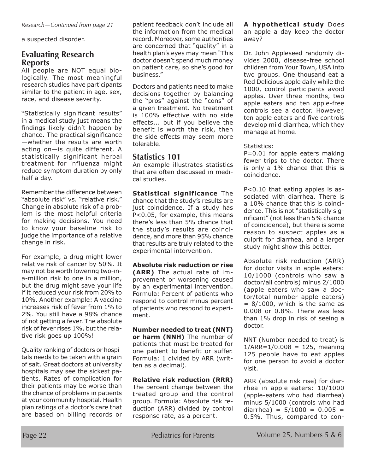*Research—Continued from page 21*

a suspected disorder.

### **Evaluating Research Reports**

All people are NOT equal biologically. The most meaningful research studies have participants similar to the patient in age, sex, race, and disease severity.

"Statistically significant results" in a medical study just means the findings likely didn't happen by chance. The practical significance —whether the results are worth acting on—is quite different. A statistically significant herbal treatment for influenza might reduce symptom duration by only half a day.

Remember the difference between "absolute risk" vs. "relative risk." Change in absolute risk of a problem is the most helpful criteria for making decisions. You need to know your baseline risk to judge the importance of a relative change in risk.

For example, a drug might lower relative risk of cancer by 50%. It may not be worth lowering two-ina-million risk to one in a million, but the drug might save your life if it reduced your risk from 20% to 10%. Another example: A vaccine increases risk of fever from 1% to 2%. You still have a 98% chance of not getting a fever. The absolute risk of fever rises 1%, but the relative risk goes up 100%!

Quality ranking of doctors or hospitals needs to be taken with a grain of salt. Great doctors at university hospitals may see the sickest patients. Rates of complication for their patients may be worse than the chance of problems in patients at your community hospital. Health plan ratings of a doctor's care that are based on billing records or

patient feedback don't include all the information from the medical record. Moreover, some authorities are concerned that "quality" in a health plan's eyes may mean "This doctor doesn't spend much money on patient care, so she's good for business."

Doctors and patients need to make decisions together by balancing the "pros" against the "cons" of a given treatment. No treatment is 100% effective with no side effects... but if you believe the benefit is worth the risk, then the side effects may seem more tolerable.

### **Statistics 101**

An example illustrates statistics that are often discussed in medical studies.

**Statistical significance** The chance that the study's results are just coincidence. If a study has P<0.05, for example, this means there's less than 5% chance that the study's results are coincidence, and more than 95% chance that results are truly related to the experimental intervention.

**Absolute risk reduction or rise (ARR)** The actual rate of improvement or worsening caused by an experimental intervention. Formula: Percent of patients who respond to control minus percent of patients who respond to experiment.

**Number needed to treat (NNT) or harm (NNH)** The number of patients that must be treated for one patient to benefit or suffer. Formula: 1 divided by ARR (written as a decimal).

**Relative risk reduction (RRR)** The percent change between the treated group and the control group. Formula: Absolute risk reduction (ARR) divided by control response rate, as a percent.

**A hypothetical study** Does an apple a day keep the doctor away?

Dr. John Appleseed randomly divides 2000, disease-free school children from Your Town, USA into two groups. One thousand eat a Red Delicious apple daily while the 1000, control participants avoid apples. Over three months, two apple eaters and ten apple-free controls see a doctor. However, ten apple eaters and five controls develop mild diarrhea, which they manage at home.

Statistics:

P=0.01 for apple eaters making fewer trips to the doctor. There is only a 1% chance that this is coincidence.

P<0.10 that eating apples is associated with diarrhea. There is a 10% chance that this is coincidence. This is not "statistically significant" (not less than 5% chance of coincidence), but there is some reason to suspect apples as a culprit for diarrhea, and a larger study might show this better.

Absolute risk reduction (ARR) for doctor visits in apple eaters: 10/1000 (controls who saw a doctor/all controls) minus 2/1000 (apple eaters who saw a doctor/total number apple eaters)  $= 8/1000$ , which is the same as 0.008 or 0.8%. There was less than 1% drop in risk of seeing a doctor.

NNT (Number needed to treat) is  $1/ARR = 1/0.008 = 125$ , meaning 125 people have to eat apples for one person to avoid a doctor visit.

ARR (absolute risk rise) for diarrhea in apple eaters: 10/1000 (apple-eaters who had diarrhea) minus 5/1000 (controls who had diarrhea) =  $5/1000 = 0.005 =$ 0.5%. Thus, compared to con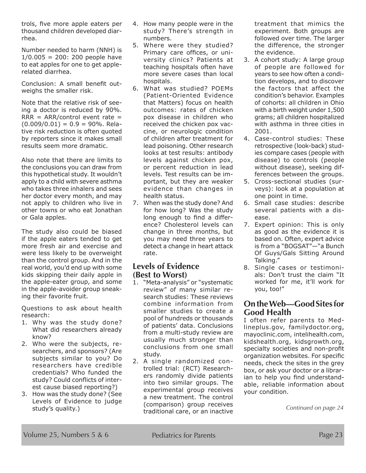trols, five more apple eaters per thousand children developed diarrhea.

Number needed to harm (NNH) is  $1/0.005 = 200$ : 200 people have to eat apples for one to get applerelated diarrhea.

Conclusion: A small benefit outweighs the smaller risk.

Note that the relative risk of seeing a doctor is reduced by 90%.  $RRR = ARR/control event rate =$  $(0.009/0.01) = 0.9 = 90\%$ . Relative risk reduction is often quoted by reporters since it makes small results seem more dramatic.

Also note that there are limits to the conclusions you can draw from this hypothetical study. It wouldn't apply to a child with severe asthma who takes three inhalers and sees her doctor every month, and may not apply to children who live in other towns or who eat Jonathan or Gala apples.

The study also could be biased if the apple eaters tended to get more fresh air and exercise and were less likely to be overweight than the control group. And in the real world, you'd end up with some kids skipping their daily apple in the apple-eater group, and some in the apple-avoider group sneaking their favorite fruit.

Questions to ask about health research:

- 1. Why was the study done? What did researchers already know?
- 2. Who were the subjects, researchers, and sponsors? (Are subjects similar to you? Do researchers have credible credentials? Who funded the study? Could conflicts of interest cause biased reporting?)
- 3. How was the study done? (See Levels of Evidence to judge study's quality.)
- 4. How many people were in the study? There's strength in numbers.
- 5. Where were they studied? Primary care offices, or university clinics? Patients at teaching hospitals often have more severe cases than local hospitals.
- 6. What was studied? POEMs (Patient-Oriented Evidence that Matters) focus on health outcomes: rates of chicken pox disease in children who received the chicken pox vaccine, or neurologic condition of children after treatment for lead poisoning. Other research looks at test results: antibody levels against chicken pox, or percent reduction in lead levels. Test results can be important, but they are weaker evidence than changes in health status.
- 7. When was the study done? And for how long? Was the study long enough to find a difference? Cholesterol levels can change in three months, but you may need three years to detect a change in heart attack rate.

### **Levels of Evidence (Best to Worst)**

- 1. "Meta-analysis" or "systematic review" of many similar research studies: These reviews combine information from smaller studies to create a pool of hundreds or thousands of patients' data. Conclusions from a multi-study review are usually much stronger than conclusions from one small study.
- 2. A single randomized controlled trial: (RCT) Researchers randomly divide patients into two similar groups. The experimental group receives a new treatment. The control (comparison) group receives traditional care, or an inactive

treatment that mimics the experiment. Both groups are followed over time. The larger the difference, the stronger the evidence.

- 3. A cohort study: A large group of people are followed for years to see how often a condition develops, and to discover the factors that affect the condition's behavior. Examples of cohorts: all children in Ohio with a birth weight under 1,500 grams; all children hospitalized with asthma in three cities in 2001.
- 4. Case-control studies: These retrospective (look-back) studies compare cases (people with disease) to controls (people without disease), seeking differences between the groups.
- 5. Cross-sectional studies (surveys): look at a population at one point in time.
- 6. Small case studies: describe several patients with a disease.
- 7. Expert opinion: This is only as good as the evidence it is based on. Often, expert advice is from a "BOGSAT"—"a Bunch Of Guys/Gals Sitting Around Talking."
- 8. Single cases or testimonials: Don't trust the claim "It worked for me, it'll work for you, too!"

### **On the Web—Good Sites for Good Health**

I often refer parents to Medlineplus.gov, familydoctor.org, mayoclinic.com, intelihealth.com, kidshealth.org, kidsgrowth.org, specialty societies and non-profit organization websites. For specific needs, check the sites in the grey box, or ask your doctor or a librarian to help you find understandable, reliable information about your condition.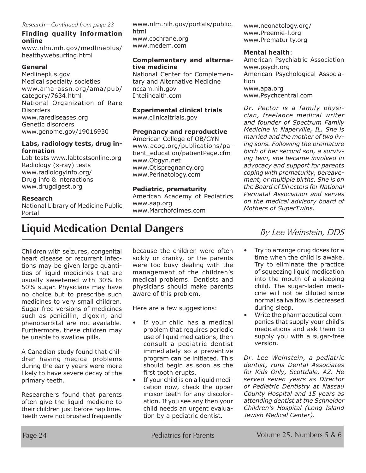#### **Finding quality information online**

www.nlm.nih.gov/medlineplus/ healthywebsurfing.html

#### **General**

Medlineplus.gov Medical specialty societies www.ama-assn.org/ama/pub/ category/7634.html National Organization of Rare **Disorders** www.rarediseases.org Genetic disorders www.genome.gov/19016930

#### **Labs, radiology tests, drug information**

Lab tests www.labtestsonline.org Radiology (x-ray) tests www.radiologyinfo.org/ Drug info & interactions www.drugdigest.org

#### **Research**

National Library of Medicine Public Portal

www.nlm.nih.gov/portals/public. html www.cochrane.org www.medem.com

#### **Complementary and alternative medicine**

National Center for Complementary and Alternative Medicine nccam.nih.gov Intelihealth.com

### **Experimental clinical trials**

www.clinicaltrials.gov

#### **Pregnancy and reproductive**

American College of OB/GYN www.acog.org/publications/patient\_education/patientPage.cfm www.Obgyn.net www.Otispregnancy.org www.Perinatology.com

### **Pediatric, prematurity**

American Academy of Pediatrics www.aap.org www.Marchofdimes.com

www.neonatology.org/ www.Preemie-l.org www.Prematurity.org

#### **Mental health**:

American Psychiatric Association www.psych.org American Psychological Association www.apa.org www.Psychcentral.com

*Dr. Pector is a family physician, freelance medical writer and founder of Spectrum Family Medicine in Naperville, IL. She is married and the mother of two living sons. Following the premature birth of her second son, a surviving twin, she became involved in advocacy and support for parents coping with prematurity, bereavement, or multiple births. She is on the Board of Directors for National Perinatal Association and serves on the medical advisory board of Mothers of SuperTwins.*

# **Liquid Medication Dental Dangers** By Lee Weinstein, DDS

Children with seizures, congenital heart disease or recurrent infections may be given large quantities of liquid medicines that are usually sweetened with 30% to 50% sugar. Physicians may have no choice but to prescribe such medicines to very small children. Sugar-free versions of medicines such as penicillin, digoxin, and phenobarbital are not available. Furthermore, these children may be unable to swallow pills.

A Canadian study found that children having medical problems during the early years were more likely to have severe decay of the primary teeth.

Researchers found that parents often give the liquid medicine to their children just before nap time. Teeth were not brushed frequently because the children were often sickly or cranky, or the parents were too busy dealing with the management of the children's medical problems. Dentists and physicians should make parents aware of this problem.

Here are a few suggestions:

- If your child has a medical problem that requires periodic use of liquid medications, then consult a pediatric dentist immediately so a preventive program can be initiated. This should begin as soon as the first tooth erupts.
- If your child is on a liquid medication now, check the upper incisor teeth for any discoloration. If you see any then your child needs an urgent evaluation by a pediatric dentist.

- Try to arrange drug doses for a time when the child is awake. Try to eliminate the practice of squeezing liquid medication into the mouth of a sleeping child. The sugar-laden medicine will not be diluted since normal saliva flow is decreased during sleep.
- Write the pharmaceutical companies that supply your child's medications and ask them to supply you with a sugar-free version.

*Dr. Lee Weinstein, a pediatric dentist, runs Dental Associates for Kids Only, Scottdale, AZ. He served seven years as Director of Pediatric Dentistry at Nassau County Hospital and 15 years as attending dentist at the Schneider Children's Hospital (Long Island Jewish Medical Center).*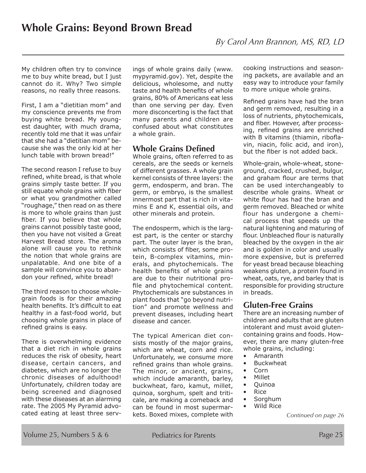My children often try to convince me to buy white bread, but I just cannot do it. Why? Two simple reasons, no really three reasons.

First, I am a "dietitian mom" and my conscience prevents me from buying white bread. My youngest daughter, with much drama, recently told me that it was unfair that she had a "dietitian mom" because she was the only kid at her lunch table with brown bread!"

The second reason I refuse to buy refined, white bread, is that whole grains simply taste better. If you still equate whole grains with fiber or what you grandmother called "roughage," then read on as there is more to whole grains than just fiber. If you believe that whole grains cannot possibly taste good, then you have not visited a Great Harvest Bread store. The aroma alone will cause you to rethink the notion that whole grains are unpalatable. And one bite of a sample will convince you to abandon your refined, white bread!

The third reason to choose wholegrain foods is for their amazing health benefits. It's difficult to eat healthy in a fast-food world, but choosing whole grains in place of refined grains is easy.

There is overwhelming evidence that a diet rich in whole grains reduces the risk of obesity, heart disease, certain cancers, and diabetes, which are no longer the chronic diseases of adulthood! Unfortunately, children today are being screened and diagnosed with these diseases at an alarming rate. The 2005 My Pyramid advocated eating at least three servings of whole grains daily (www. mypyramid.gov). Yet, despite the delicious, wholesome, and nutty taste and health benefits of whole grains, 80% of Americans eat less than one serving per day. Even more disconcerting is the fact that many parents and children are confused about what constitutes a whole grain.

### **Whole Grains Defined**

Whole grains, often referred to as cereals, are the seeds or kernels of different grasses. A whole grain kernel consists of three layers: the germ, endosperm, and bran. The germ, or embryo, is the smallest innermost part that is rich in vitamins E and K, essential oils, and other minerals and protein.

The endosperm, which is the largest part, is the center or starchy part. The outer layer is the bran, which consists of fiber, some protein, B-complex vitamins, minerals, and phytochemicals. The health benefits of whole grains are due to their nutritional profile and phytochemical content. Phytochemicals are substances in plant foods that "go beyond nutrition" and promote wellness and prevent diseases, including heart disease and cancer.

The typical American diet consists mostly of the major grains, which are wheat, corn and rice. Unfortunately, we consume more refined grains than whole grains. The minor, or ancient, grains, which include amaranth, barley, buckwheat, faro, kamut, millet, quinoa, sorghum, spelt and triticale, are making a comeback and can be found in most supermarkets. Boxed mixes, complete with

cooking instructions and seasoning packets, are available and an easy way to introduce your family to more unique whole grains.

Refined grains have had the bran and germ removed, resulting in a loss of nutrients, phytochemicals, and fiber. However, after processing, refined grains are enriched with B vitamins (thiamin, riboflavin, niacin, folic acid, and iron), but the fiber is not added back.

Whole-grain, whole-wheat, stoneground, cracked, crushed, bulgur, and graham flour are terms that can be used interchangeably to describe whole grains. Wheat or white flour has had the bran and germ removed. Bleached or white flour has undergone a chemical process that speeds up the natural lightening and maturing of flour. Unbleached flour is naturally bleached by the oxygen in the air and is golden in color and usually more expensive, but is preferred for yeast bread because bleaching weakens gluten, a protein found in wheat, oats, rye, and barley that is responsible for providing structure in breads.

### **Gluten-Free Grains**

There are an increasing number of children and adults that are gluten intolerant and must avoid glutencontaining grains and foods. However, there are many gluten-free whole grains, including:

- Amaranth
- Buckwheat
- Corn
- Millet
- Quinoa
- Rice
- Sorghum • Wild Rice

*Continued on page 26*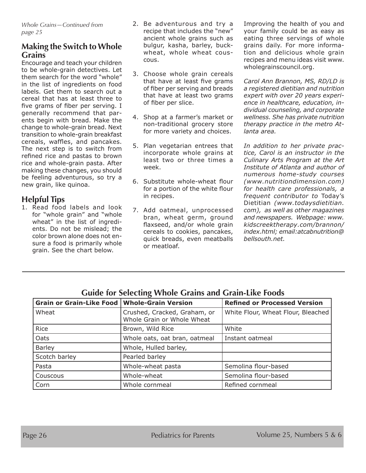### **Making the Switch to Whole Grains**

Encourage and teach your children to be whole-grain detectives. Let them search for the word "whole" in the list of ingredients on food labels. Get them to search out a cereal that has at least three to five grams of fiber per serving. I generally recommend that parents begin with bread. Make the change to whole-grain bread. Next transition to whole-grain breakfast cereals, waffles, and pancakes. The next step is to switch from refined rice and pastas to brown rice and whole-grain pasta. After making these changes, you should be feeling adventurous, so try a new grain, like quinoa.

### **Helpful Tips**

1. Read food labels and look for "whole grain" and "whole wheat" in the list of ingredients. Do not be mislead; the color brown alone does not ensure a food is primarily whole grain. See the chart below.

- 2. Be adventurous and try a recipe that includes the "new" ancient whole grains such as bulgur, kasha, barley, buckwheat, whole wheat couscous.
- 3. Choose whole grain cereals that have at least five grams of fiber per serving and breads that have at least two grams of fiber per slice.
- 4. Shop at a farmer's market or non-traditional grocery store for more variety and choices.
- 5. Plan vegetarian entrees that incorporate whole grains at least two or three times a week.
- 6. Substitute whole-wheat flour for a portion of the white flour in recipes.
- 7. Add oatmeal, unprocessed bran, wheat germ, ground flaxseed, and/or whole grain cereals to cookies, pancakes, quick breads, even meatballs or meatloaf.

Improving the health of you and your family could be as easy as eating three servings of whole grains daily. For more information and delicious whole grain recipes and menu ideas visit www. wholegrainscouncil.org.

*Carol Ann Brannon, MS, RD/LD is a registered dietitian and nutrition expert with over 20 years experience in healthcare, education, individual counseling, and corporate wellness. She has private nutrition therapy practice in the metro Atlanta area.* 

*In addition to her private practice, Carol is an instructor in the Culinary Arts Program at the Art Institute of Atlanta and author of numerous home-study courses (www.nutritiondimension.com) for health care professionals, a frequent contributor to* Today's Dietitian *(www.todaysdietitian. com), as well as other magazines and newspapers. Webpage: www. kidscreektherapy.com/brannon/ index.html; email:atcabnutrition@ bellsouth.net.*

| <b>Grain or Grain-Like Food</b> | <b>Whole-Grain Version</b>                                 | <b>Refined or Processed Version</b> |  |
|---------------------------------|------------------------------------------------------------|-------------------------------------|--|
| Wheat                           | Crushed, Cracked, Graham, or<br>Whole Grain or Whole Wheat | White Flour, Wheat Flour, Bleached  |  |
| Rice                            | Brown, Wild Rice                                           | White                               |  |
| Oats                            | Whole oats, oat bran, oatmeal                              | Instant oatmeal                     |  |
| <b>Barley</b>                   | Whole, Hulled barley,                                      |                                     |  |
| Scotch barley                   | Pearled barley                                             |                                     |  |
| Pasta                           | Whole-wheat pasta                                          | Semolina flour-based                |  |
| Couscous                        | Whole-wheat                                                | Semolina flour-based                |  |
| Corn                            | Whole cornmeal                                             | Refined cornmeal                    |  |

### **Guide for Selecting Whole Grains and Grain-Like Foods**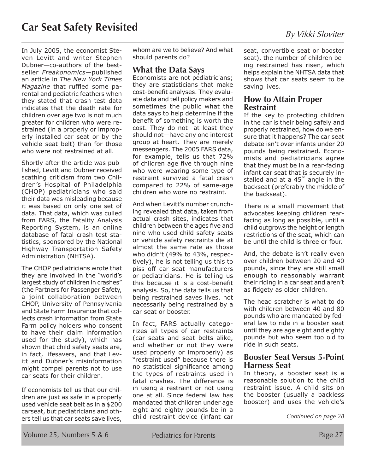In July 2005, the economist Steven Levitt and writer Stephen Dubner—co-authors of the bestseller *Freakonomics*—published an article in *The New York Times Magazine* that ruffled some parental and pediatric feathers when they stated that crash test data indicates that the death rate for children over age two is not much greater for children who were restrained (in a properly or improperly installed car seat or by the vehicle seat belt) than for those who were not restrained at all.

Shortly after the article was published, Levitt and Dubner received scathing criticism from two Children's Hospital of Philadelphia (CHOP) pediatricians who said their data was misleading because it was based on only one set of data. That data, which was culled from FARS, the Fatality Analysis Reporting System, is an online database of fatal crash test statistics, sponsored by the National Highway Transportation Safety Administration (NHTSA).

The CHOP pediatricians wrote that they are involved in the "world's largest study of children in crashes" (the Partners for Passenger Safety, a joint collaboration between CHOP, University of Pennsylvania and State Farm Insurance that collects crash information from State Farm policy holders who consent to have their claim information used for the study), which has shown that child safety seats are, in fact, lifesavers, and that Levitt and Dubner's misinformation might compel parents not to use car seats for their children.

If economists tell us that our children are just as safe in a properly used vehicle seat belt as in a \$200 carseat, but pediatricians and others tell us that car seats save lives,

whom are we to believe? And what should parents do?

#### **What the Data Says**

Economists are not pediatricians; they are statisticians that make cost-benefit analyses. They evaluate data and tell policy makers and sometimes the public what the data says to help determine if the benefit of something is worth the cost. They do not—at least they should not—have any one interest group at heart. They are merely messengers. The 2005 FARS data, for example, tells us that 72% of children age five through nine who were wearing some type of restraint survived a fatal crash compared to 22% of same-age children who wore no restraint.

And when Levitt's number crunching revealed that data, taken from actual crash sites, indicates that children between the ages five and nine who used child safety seats or vehicle safety restraints die at almost the same rate as those who didn't (49% to 43%, respectively), he is not telling us this to piss off car seat manufacturers or pediatricians. He is telling us this because it is a cost-benefit analysis. So, the data tells us that being restrained saves lives, not necessarily being restrained by a car seat or booster.

In fact, FARS actually categorizes all types of car restraints (car seats and seat belts alike, and whether or not they were used properly or improperly) as "restraint used" because there is no statistical significance among the types of restraints used in fatal crashes. The difference is in using a restraint or not using one at all. Since federal law has mandated that children under age eight and eighty pounds be in a child restraint device (infant car seat, convertible seat or booster seat), the number of children being restrained has risen, which helps explain the NHTSA data that shows that car seats seem to be saving lives.

#### **How to Attain Proper Restraint**

If the key to protecting children in the car is their being safely and properly restrained, how do we ensure that it happens? The car seat debate isn't over infants under 20 pounds being restrained. Economists and pediatricians agree that they must be in a rear-facing infant car seat that is securely installed and at a 45° angle in the backseat (preferably the middle of the backseat).

There is a small movement that advocates keeping children rearfacing as long as possible, until a child outgrows the height or length restrictions of the seat, which can be until the child is three or four.

And, the debate isn't really even over children between 20 and 40 pounds, since they are still small enough to reasonably warrant their riding in a car seat and aren't as fidgety as older children.

The head scratcher is what to do with children between 40 and 80 pounds who are mandated by federal law to ride in a booster seat until they are age eight and eighty pounds but who seem too old to ride in such seats.

### **Booster Seat Versus 5-Point Harness Seat**

In theory, a booster seat is a reasonable solution to the child restraint issue. A child sits on the booster (usually a backless booster) and uses the vehicle's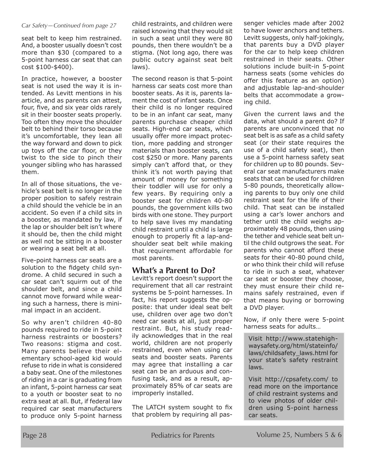#### *Car Safety—Continued from page 27*

seat belt to keep him restrained. And, a booster usually doesn't cost more than \$30 (compared to a 5-point harness car seat that can cost \$100-\$400).

In practice, however, a booster seat is not used the way it is intended. As Levitt mentions in his article, and as parents can attest, four, five, and six year olds rarely sit in their booster seats properly. Too often they move the shoulder belt to behind their torso because it's uncomfortable, they lean all the way forward and down to pick up toys off the car floor, or they twist to the side to pinch their younger sibling who has harassed them.

In all of those situations, the vehicle's seat belt is no longer in the proper position to safely restrain a child should the vehicle be in an accident. So even if a child sits in a booster, as mandated by law, if the lap or shoulder belt isn't where it should be, then the child might as well not be sitting in a booster or wearing a seat belt at all.

Five-point harness car seats are a solution to the fidgety child syndrome. A child secured in such a car seat can't squirm out of the shoulder belt, and since a child cannot move forward while wearing such a harness, there is minimal impact in an accident.

So why aren't children 40-80 pounds required to ride in 5-point harness restraints or boosters? Two reasons: stigma and cost. Many parents believe their elementary school-aged kid would refuse to ride in what is considered a baby seat. One of the milestones of riding in a car is graduating from an infant, 5-point harness car seat to a youth or booster seat to no extra seat at all. But, if federal law required car seat manufacturers to produce only 5-point harness

child restraints, and children were raised knowing that they would sit in such a seat until they were 80 pounds, then there wouldn't be a stigma. (Not long ago, there was public outcry against seat belt laws).

The second reason is that 5-point harness car seats cost more than booster seats. As it is, parents lament the cost of infant seats. Once their child is no longer required to be in an infant car seat, many parents purchase cheaper child seats. High-end car seats, which usually offer more impact protection, more padding and stronger materials than booster seats, can cost \$250 or more. Many parents simply can't afford that, or they think it's not worth paying that amount of money for something their toddler will use for only a few years. By requiring only a booster seat for children 40-80 pounds, the government kills two birds with one stone. They purport to help save lives my mandating child restraint until a child is large enough to properly fit a lap-andshoulder seat belt while making that requirement affordable for most parents.

### **What's a Parent to Do?**

Levitt's report doesn't support the requirement that all car restraint systems be 5-point harnesses. In fact, his report suggests the opposite: that under ideal seat belt use, children over age two don't need car seats at all, just proper restraint. But, his study readily acknowledges that in the real world, children are not properly restrained, even when using car seats and booster seats. Parents may agree that installing a car seat can be an arduous and confusing task, and as a result, approximately 85% of car seats are improperly installed.

The LATCH system sought to fix that problem by requiring all passenger vehicles made after 2002 to have lower anchors and tethers. Levitt suggests, only half-jokingly, that parents buy a DVD player for the car to help keep children restrained in their seats. Other solutions include built-in 5-point harness seats (some vehicles do offer this feature as an option) and adjustable lap-and-shoulder belts that accommodate a growing child.

Given the current laws and the data, what should a parent do? If parents are unconvinced that no seat belt is as safe as a child safety seat (or their state requires the use of a child safety seat), then use a 5-point harness safety seat for children up to 80 pounds. Several car seat manufacturers make seats that can be used for children 5-80 pounds, theoretically allowing parents to buy only one child restraint seat for the life of their child. That seat can be installed using a car's lower anchors and tether until the child weighs approximately 48 pounds, then using the tether and vehicle seat belt until the child outgrows the seat. For parents who cannot afford these seats for their 40-80 pound child, or who think their child will refuse to ride in such a seat, whatever car seat or booster they choose, they must ensure their child remains safely restrained, even if that means buying or borrowing a DVD player.

Now, if only there were 5-point harness seats for adults…

Visit http://www.statehighwaysafety.org/html/stateinfo/ laws/childsafety\_laws.html for your state's safety restraint laws.

Visit http://cpsafety.com/ to read more on the importance of child restraint systems and to view photos of older children using 5-point harness car seats.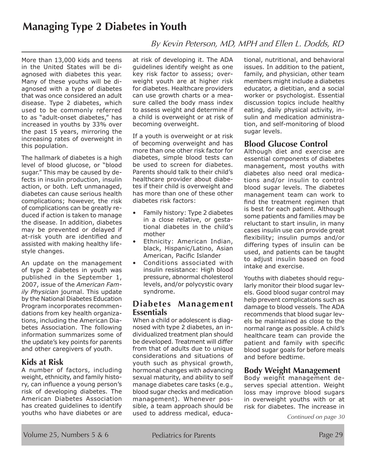### **Managing Type 2 Diabetes in Youth**

More than 13,000 kids and teens in the United States will be diagnosed with diabetes this year. Many of these youths will be diagnosed with a type of diabetes that was once considered an adult disease. Type 2 diabetes, which used to be commonly referred to as "adult-onset diabetes," has increased in youths by 33% over the past 15 years, mirroring the increasing rates of overweight in this population.

The hallmark of diabetes is a high level of blood glucose, or "blood sugar." This may be caused by defects in insulin production, insulin action, or both. Left unmanaged, diabetes can cause serious health complications; however, the risk of complications can be greatly reduced if action is taken to manage the disease. In addition, diabetes may be prevented or delayed if at-risk youth are identified and assisted with making healthy lifestyle changes.

An update on the management of type 2 diabetes in youth was published in the September 1, 2007, issue of the *American Family Physician* journal. This update by the National Diabetes Education Program incorporates recommendations from key health organizations, including the American Diabetes Association. The following information summarizes some of the update's key points for parents and other caregivers of youth.

### **Kids at Risk**

A number of factors, including weight, ethnicity, and family history, can influence a young person's risk of developing diabetes. The American Diabetes Association has created guidelines to identify youths who have diabetes or are at risk of developing it. The ADA guidelines identify weight as one key risk factor to assess; overweight youth are at higher risk for diabetes. Healthcare providers can use growth charts or a measure called the body mass index to assess weight and determine if a child is overweight or at risk of becoming overweight.

If a youth is overweight or at risk of becoming overweight and has more than one other risk factor for diabetes, simple blood tests can be used to screen for diabetes. Parents should talk to their child's healthcare provider about diabetes if their child is overweight and has more than one of these other diabetes risk factors:

- Family history: Type 2 diabetes in a close relative, or gestational diabetes in the child's mother
- Ethnicity: American Indian, black, Hispanic/Latino, Asian American, Pacific Islander
- Conditions associated with insulin resistance: High blood pressure, abnormal cholesterol levels, and/or polycystic ovary syndrome.

### **Diabetes Management Essentials**

When a child or adolescent is diagnosed with type 2 diabetes, an individualized treatment plan should be developed. Treatment will differ from that of adults due to unique considerations and situations of youth such as physical growth, hormonal changes with advancing sexual maturity, and ability to self manage diabetes care tasks (e.g., blood sugar checks and medication management). Whenever possible, a team approach should be used to address medical, educational, nutritional, and behavioral issues. In addition to the patient, family, and physician, other team members might include a diabetes educator, a dietitian, and a social worker or psychologist. Essential discussion topics include healthy eating, daily physical activity, insulin and medication administration, and self-monitoring of blood sugar levels.

### **Blood Glucose Control**

By Kevin Peterson, MD, MPH and Ellen L. Dodds, RD

Although diet and exercise are essential components of diabetes management, most youths with diabetes also need oral medications and/or insulin to control blood sugar levels. The diabetes management team can work to find the treatment regimen that is best for each patient. Although some patients and families may be reluctant to start insulin, in many cases insulin use can provide great flexibility; insulin pumps and/or differing types of insulin can be used, and patients can be taught to adjust insulin based on food intake and exercise.

Youths with diabetes should regularly monitor their blood sugar levels. Good blood sugar control may help prevent complications such as damage to blood vessels. The ADA recommends that blood sugar levels be maintained as close to the normal range as possible. A child's healthcare team can provide the patient and family with specific blood sugar goals for before meals and before bedtime.

### **Body Weight Management**

Body weight management deserves special attention. Weight loss may improve blood sugars in overweight youths with or at risk for diabetes. The increase in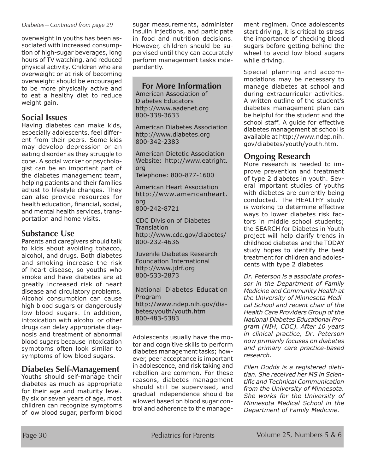#### *Diabetes—Continued from page 29*

overweight in youths has been associated with increased consumption of high-sugar beverages, long hours of TV watching, and reduced physical activity. Children who are overweight or at risk of becoming overweight should be encouraged to be more physically active and to eat a healthy diet to reduce weight gain.

### **Social Issues**

Having diabetes can make kids, especially adolescents, feel different from their peers. Some kids may develop depression or an eating disorder as they struggle to cope. A social worker or psychologist can be an important part of the diabetes management team, helping patients and their families adjust to lifestyle changes. They can also provide resources for health education, financial, social, and mental health services, transportation and home visits.

### **Substance Use**

Parents and caregivers should talk to kids about avoiding tobacco, alcohol, and drugs. Both diabetes and smoking increase the risk of heart disease, so youths who smoke and have diabetes are at greatly increased risk of heart disease and circulatory problems. Alcohol consumption can cause high blood sugars or dangerously low blood sugars. In addition, intoxication with alcohol or other drugs can delay appropriate diagnosis and treatment of abnormal blood sugars because intoxication symptoms often look similar to symptoms of low blood sugars.

### **Diabetes Self-Management**

Youths should self-manage their diabetes as much as appropriate for their age and maturity level. By six or seven years of age, most children can recognize symptoms of low blood sugar, perform blood

sugar measurements, administer insulin injections, and participate in food and nutrition decisions. However, children should be supervised until they can accurately perform management tasks independently.

### **For More Information**

American Association of Diabetes Educators http://www.aadenet.org 800-338-3633

American Diabetes Association http://www.diabetes.org 800-342-2383

American Dietetic Association Website: http://www.eatright. org Telephone: 800-877-1600

American Heart Association http://www.americanheart. org 800-242-8721

CDC Division of Diabetes **Translation** http://www.cdc.gov/diabetes/ 800-232-4636

Juvenile Diabetes Research Foundation International http://www.jdrf.org 800-533-2873

National Diabetes Education Program http://www.ndep.nih.gov/diabetes/youth/youth.htm 800-483-5383

Adolescents usually have the motor and cognitive skills to perform diabetes management tasks; however, peer acceptance is important in adolescence, and risk taking and rebellion are common. For these reasons, diabetes management should still be supervised, and gradual independence should be allowed based on blood sugar control and adherence to the management regimen. Once adolescents start driving, it is critical to stress the importance of checking blood sugars before getting behind the wheel to avoid low blood sugars while driving.

Special planning and accommodations may be necessary to manage diabetes at school and during extracurricular activities. A written outline of the student's diabetes management plan can be helpful for the student and the school staff. A guide for effective diabetes management at school is available at http://www.ndep.nih. gov/diabetes/youth/youth.htm.

### **Ongoing Research**

More research is needed to improve prevention and treatment of type 2 diabetes in youth. Several important studies of youths with diabetes are currently being conducted. The HEALTHY study is working to determine effective ways to lower diabetes risk factors in middle school students; the SEARCH for Diabetes in Youth project will help clarify trends in childhood diabetes and the TODAY study hopes to identify the best treatment for children and adolescents with type 2 diabetes

*Dr. Peterson is a associate professor in the Department of Family Medicine and Community Health at the University of Minnesota Medical School and recent chair of the Health Care Providers Group of the National Diabetes Educational Program (NIH, CDC). After 10 years in clinical practice, Dr. Peterson now primarily focuses on diabetes and primary care practice-based research.* 

*Ellen Dodds is a registered dietitian. She received her MS in Scientific and Technical Communication from the University of Minnesota. She works for the University of Minnesota Medical School in the Department of Family Medicine.*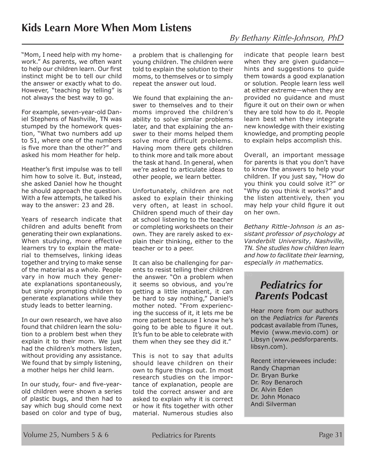"Mom, I need help with my homework." As parents, we often want to help our children learn. Our first instinct might be to tell our child the answer or exactly what to do. However, "teaching by telling" is not always the best way to go.

For example, seven-year-old Daniel Stephens of Nashville, TN was stumped by the homework question, "What two numbers add up to 51, where one of the numbers is five more than the other?" and asked his mom Heather for help.

Heather's first impulse was to tell him how to solve it. But, instead, she asked Daniel how he thought he should approach the question. With a few attempts, he talked his way to the answer: 23 and 28.

Years of research indicate that children and adults benefit from generating their own explanations. When studying, more effective learners try to explain the material to themselves, linking ideas together and trying to make sense of the material as a whole. People vary in how much they generate explanations spontaneously, but simply prompting children to generate explanations while they study leads to better learning.

In our own research, we have also found that children learn the solution to a problem best when they explain it to their mom. We just had the children's mothers listen, without providing any assistance. We found that by simply listening, a mother helps her child learn.

In our study, four- and five-yearold children were shown a series of plastic bugs, and then had to say which bug should come next based on color and type of bug,

a problem that is challenging for young children. The children were told to explain the solution to their moms, to themselves or to simply repeat the answer out loud.

We found that explaining the answer to themselves and to their moms improved the children's ability to solve similar problems later, and that explaining the answer to their moms helped them solve more difficult problems. Having mom there gets children to think more and talk more about the task at hand. In general, when we're asked to articulate ideas to other people, we learn better.

Unfortunately, children are not asked to explain their thinking very often, at least in school. Children spend much of their day at school listening to the teacher or completing worksheets on their own. They are rarely asked to explain their thinking, either to the teacher or to a peer.

It can also be challenging for parents to resist telling their children the answer. "On a problem when it seems so obvious, and you're getting a little impatient, it can be hard to say nothing," Daniel's mother noted. "From experiencing the success of it, it lets me be more patient because I know he's going to be able to figure it out. It's fun to be able to celebrate with them when they see they did it."

This is not to say that adults should leave children on their own to figure things out. In most research studies on the importance of explanation, people are told the correct answer and are asked to explain why it is correct or how it fits together with other material. Numerous studies also

By Bethany Rittle-Johnson, PhD

indicate that people learn best when they are given guidance hints and suggestions to guide them towards a good explanation or solution. People learn less well at either extreme—when they are provided no guidance and must figure it out on their own or when they are told how to do it. People learn best when they integrate new knowledge with their existing knowledge, and prompting people to explain helps accomplish this.

Overall, an important message for parents is that you don't have to know the answers to help your children. If you just say, "How do you think you could solve it?" or "Why do you think it works?" and the listen attentively, then you may help your child figure it out on her own.

*Bethany Rittle-Johnson is an assistant professor of psychology at Vanderbilt University, Nashville, TN. She studies how children learn and how to facilitate their learning, especially in mathematics.*

### *Pediatrics for Parents* **Podcast**

Hear more from our authors on the *Pediatrics for Parents*  podcast available from iTunes, Mevio (www.mevio.com) or Libsyn (www.pedsforparents. libsyn.com).

Recent interviewees include: Randy Chapman Dr. Bryan Burke Dr. Roy Benaroch Dr. Alvin Eden Dr. John Monaco Andi Silverman